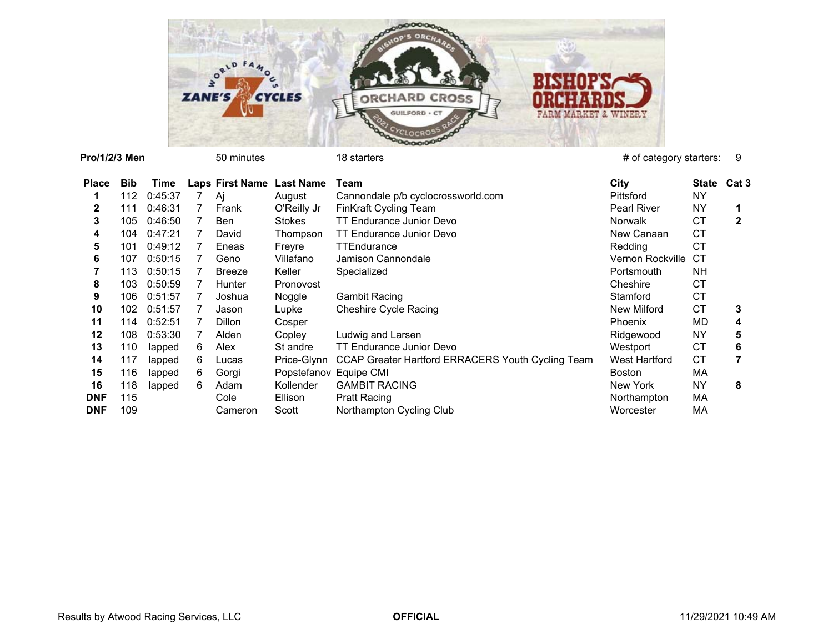

### **Pro/1/2/3 Men**

50 minutes 18 starters 18 starters 20 minutes 20 minutes 20 minutes 20 minutes 20 minutes 20 minutes 20 minutes

| Place      | <b>Bib</b> | Time    |    | Laps First Name Last Name |                        | Team                                              | City               | State     | Cat 3 |
|------------|------------|---------|----|---------------------------|------------------------|---------------------------------------------------|--------------------|-----------|-------|
|            | 112        | 0:45:37 |    | Ai                        | August                 | Cannondale p/b cyclocrossworld.com                | Pittsford          | NY        |       |
| 2          | 111        | 0:46:31 |    | Frank                     | O'Reilly Jr            | <b>FinKraft Cycling Team</b>                      | <b>Pearl River</b> | NY        |       |
| 3.         | 105        | 0:46:50 |    | <b>Ben</b>                | <b>Stokes</b>          | TT Endurance Junior Devo                          | Norwalk            | СT        | 2     |
| 4          | 104        | 0:47:21 |    | David                     | Thompson               | TT Endurance Junior Devo                          | New Canaan         | СT        |       |
| 5.         | 101        | 0:49:12 |    | Eneas                     | Freyre                 | TTEndurance                                       | Redding            | СT        |       |
| 6          | 107        | 0:50:15 |    | Geno                      | Villafano              | Jamison Cannondale                                | Vernon Rockville   | CТ        |       |
|            | 113        | 0:50:15 |    | <b>Breeze</b>             | Keller                 | Specialized                                       | Portsmouth         | NH.       |       |
| 8          | 103        | 0:50:59 |    | Hunter                    | Pronovost              |                                                   | Cheshire           | СT        |       |
| 9          | 106        | 0:51:57 |    | Joshua                    | Noggle                 | Gambit Racing                                     | Stamford           | <b>CT</b> |       |
| 10         | 102        | 0:51:57 |    | Jason                     | Lupke                  | <b>Cheshire Cycle Racing</b>                      | New Milford        | СT        | 3     |
| 11         | 114        | 0:52:51 |    | <b>Dillon</b>             | Cosper                 |                                                   | Phoenix            | MD        | 4     |
| 12         | 108        | 0:53:30 |    | Alden                     | Copley                 | Ludwig and Larsen                                 | Ridgewood          | NY        | 5     |
| 13         | 110        | lapped  | 6. | Alex                      | St andre               | TT Endurance Junior Devo                          | Westport           | СT        | 6     |
| 14         | 117        | lapped  | 6  | Lucas                     | Price-Glynn            | CCAP Greater Hartford ERRACERS Youth Cycling Team | West Hartford      | СT        |       |
| 15         | 116        | lapped  | 6. | Gorgi                     | Popstefanov Equipe CMI |                                                   | Boston             | МA        |       |
| 16         | 118        | lapped  | 6. | Adam                      | Kollender              | <b>GAMBIT RACING</b>                              | New York           | NY        | 8     |
| <b>DNF</b> | 115        |         |    | Cole                      | Ellison                | <b>Pratt Racing</b>                               | Northampton        | МA        |       |
| <b>DNF</b> | 109        |         |    | Cameron                   | Scott                  | Northampton Cycling Club                          | Worcester          | МA        |       |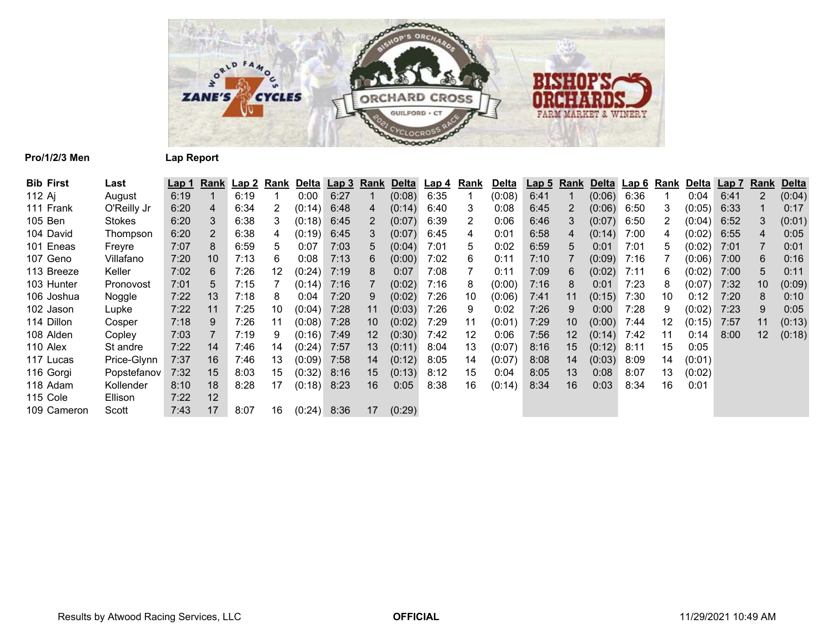

## **Pro/1/2/3 Men Lap Report**

| <b>Bib First</b> | Last        | Lap 1 | Rank | Lap 2 | Rank | Delta  | <u>Lap 3</u> | <b>Rank</b>    | Delta  | Lap 4 | Rank | <u>Delta</u> | Lap <sub>5</sub> |    | <b>Rank Delta</b> | <u>Lap 6</u> | Rank | Delta  | Lap <sub>7</sub> | Rank | <b>Delta</b> |
|------------------|-------------|-------|------|-------|------|--------|--------------|----------------|--------|-------|------|--------------|------------------|----|-------------------|--------------|------|--------|------------------|------|--------------|
| 112 Ai           | August      | 6:19  |      | 6:19  |      | 0:00   | 6:27         |                | (0:08) | 6:35  |      | (0:08)       | 6:41             | 1  | (0:06)            | 6:36         |      | 0:04   | 6:41             | 2    | (0:04)       |
| 111 Frank        | O'Reilly Jr | 6:20  | 4    | 6:34  | 2    | (0:14) | 6:48         | 4              | (0:14) | 6:40  | 3    | 0:08         | 6:45             | 2  | (0:06)            | 6:50         | 3    | (0:05) | 6:33             |      | 0:17         |
| 105 Ben          | Stokes      | 6:20  | 3    | 6:38  | 3.   | (0:18) | 6:45         | $\overline{2}$ | (0:07) | 6:39  | 2    | 0:06         | 6:46             | 3  | (0:07)            | 6:50         | 2    | (0:04) | 6:52             | 3    | (0:01)       |
| 104 David        | Thompson    | 6:20  | 2    | 6:38  | 4    | (0:19) | 6:45         | 3              | (0:07) | 6:45  | 4    | 0:01         | 6:58             | 4  | (0:14)            | 7:00         | 4    | (0:02) | 6:55             | 4    | 0:05         |
| 101 Eneas        | Freyre      | 7:07  | 8    | 6:59  | 5    | 0:07   | 7:03         | 5              | (0:04) | 7:01  | 5    | 0:02         | 6:59             | 5  | 0:01              | 7:01         | 5    | (0:02) | 7:01             |      | 0:01         |
| 107 Geno         | Villafano   | 7:20  | 10   | 7:13  | 6    | 0:08   | 7:13         | 6              | (0:00) | 7:02  | 6    | 0:11         | 7:10             |    | (0:09)            | 7:16         |      | (0:06) | 7:00             | 6    | 0:16         |
| 113 Breeze       | Keller      | 7:02  | 6    | 7:26  | 12   | (0:24) | 7:19         | 8              | 0:07   | 7:08  |      | 0:11         | 7:09             | 6  | (0:02)            | 7:11         | 6    | (0:02) | 7:00             | 5    | 0:11         |
| 103 Hunter       | Pronovost   | 7:01  | 5    | 7:15  |      | (0:14) | 7:16         |                | (0:02) | 7:16  | 8    | (0:00)       | 7:16             | 8  | 0:01              | 7:23         | 8    | (0:07) | 7:32             | 10   | (0:09)       |
| 106 Joshua       | Noggle      | 7:22  | 13   | 7:18  | 8    | 0:04   | 7:20         | 9              | (0:02) | 7:26  | 10   | (0:06)       | 7:41             | 11 | (0:15)            | 7:30         | 10   | 0:12   | 7:20             | 8    | 0:10         |
| 102 Jason        | Lupke       | 7:22  | 11   | 7:25  | 10   | (0:04) | 7:28         | 11             | (0:03) | 7:26  | 9    | 0:02         | 7:26             | 9  | 0:00              | 7:28         | 9    | (0:02) | 7:23             | 9    | 0:05         |
| 114 Dillon       | Cosper      | 7:18  | 9    | 7:26  | 11   | (0:08) | 7:28         | 10             | (0:02) | 7:29  | 11   | (0:01)       | 7:29             | 10 | (0:00)            | 7:44         | 12   | (0:15) | 7:57             | 11   | (0:13)       |
| 108 Alden        | Copley      | 7:03  |      | 7:19  | 9    | (0:16) | 7:49         | 12             | (0:30) | 7:42  | 12   | 0:06         | 7:56             | 12 | (0:14)            | 7:42         | 11   | 0:14   | 8:00             | 12   | (0:18)       |
| 110 Alex         | St andre    | 7:22  | 14   | 7:46  | 14   | (0:24) | 7:57         | 13             | (0:11) | 8:04  | 13   | (0:07)       | 8:16             | 15 | (0:12)            | 8:11         | 15   | 0:05   |                  |      |              |
| 117 Lucas        | Price-Glynn | 7:37  | 16   | 7:46  | 13   | (0:09) | 7:58         | 14             | (0:12) | 8:05  | 14   | (0:07)       | 8:08             | 14 | (0:03)            | 8:09         | 14   | (0:01) |                  |      |              |
| 116 Gorgi        | Popstefanov | 7:32  | 15   | 8:03  | 15   | (0:32) | 8:16         | 15             | (0:13) | 8:12  | 15   | 0:04         | 8:05             | 13 | 0:08              | 8:07         | 13   | (0:02) |                  |      |              |
| 118 Adam         | Kollender   | 8:10  | 18   | 8:28  | 17   | (0:18) | 8:23         | 16             | 0:05   | 8:38  | 16   | (0:14)       | 8:34             | 16 | 0:03              | 8:34         | 16   | 0:01   |                  |      |              |
| 115 Cole         | Ellison     | 7:22  | 12   |       |      |        |              |                |        |       |      |              |                  |    |                   |              |      |        |                  |      |              |
| 109 Cameron      | Scott       | 7:43  | 17   | 8:07  | 16   | (0:24) | 8:36         | 17             | (0:29) |       |      |              |                  |    |                   |              |      |        |                  |      |              |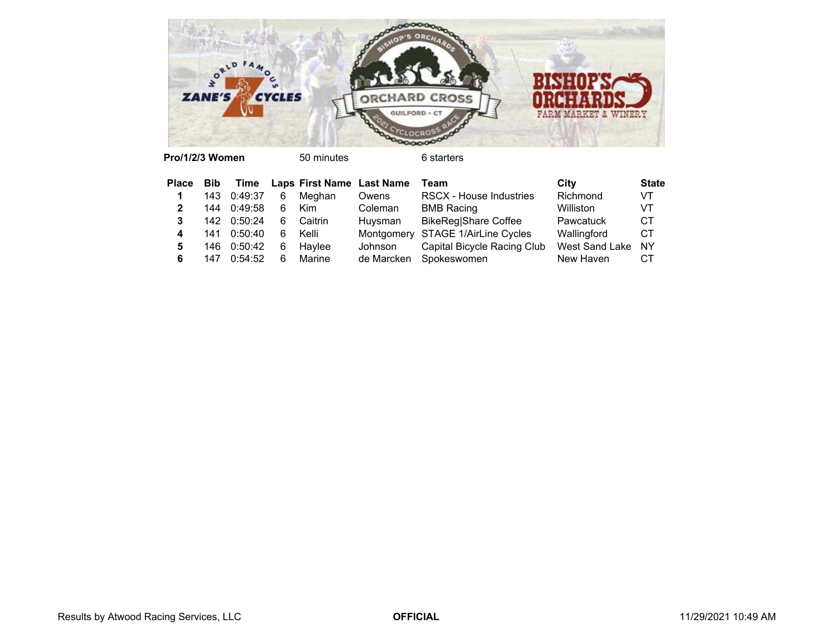

**Pro/1/2/3 Women**

50 minutes 6 starters

| <b>Place</b> | <b>Bib</b> |             |    | Time Laps First Name Last Name |            | Team                              | City                  | <b>State</b> |
|--------------|------------|-------------|----|--------------------------------|------------|-----------------------------------|-----------------------|--------------|
|              |            | 143 0:49:37 | 6  | Meghan                         | Owens      | <b>RSCX - House Industries</b>    | Richmond              | VT           |
|              |            | 144 0:49:58 | 6  | Kim                            | Coleman    | <b>BMB Racing</b>                 | Williston             | VT           |
| 3            |            | 142 0:50:24 | 6. | Caitrin                        | Huysman    | <b>BikeReg Share Coffee</b>       | Pawcatuck             | СT           |
| 4            |            | 141 0:50:40 | 6  | Kelli                          |            | Montgomery STAGE 1/AirLine Cycles | Wallingford           | CТ           |
| 5            |            | 146 0:50:42 | 6  | Havlee                         | Johnson    | Capital Bicycle Racing Club       | <b>West Sand Lake</b> | <b>NY</b>    |
| 6            | 147        | 0:54:52     | 6  | Marine                         | de Marcken | Spokeswomen                       | New Haven             | СT           |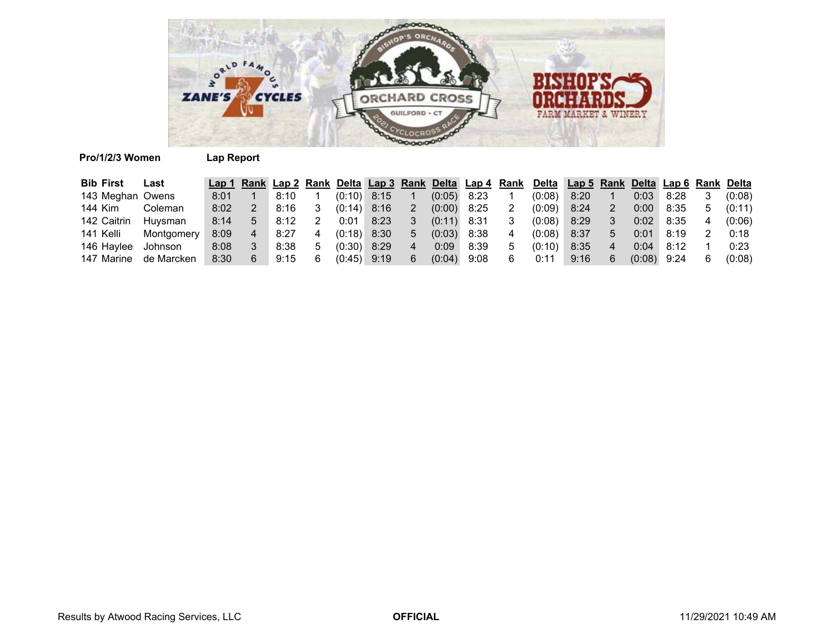

# **Pro/1/2/3 Women Lap Report**

| <b>Bib First</b> | Last       |      |      |   |               |      |    |               |      |   | Lap 1 Rank Lap 2 Rank Delta Lap 3 Rank Delta Lap 4 Rank Delta Lap 5 Rank Delta Lap 6 Rank Delta |      |        |      |    |        |
|------------------|------------|------|------|---|---------------|------|----|---------------|------|---|-------------------------------------------------------------------------------------------------|------|--------|------|----|--------|
| 143 Meghan Owens |            | 8:01 | 8:10 |   | $(0:10)$ 8:15 |      |    | (0:05)        | 8:23 |   | (0:08)                                                                                          | 8:20 | 0:03   | 8:28 |    | (0:08) |
| 144 Kim          | Coleman    | 8:02 | 8:16 |   | $(0:14)$ 8:16 |      |    | $(0:00)$ 8:25 |      | 2 | (0:09)                                                                                          | 8:24 | 0:00   | 8:35 | ۰. | (0:11) |
| 142 Caitrin      | Huvsman    | 8:14 | 8:12 |   | 0:01          | 8:23 |    | (0:11)        | 8:31 |   | (0:08)                                                                                          | 8:29 | 0:02   | 8:35 |    | (0:06) |
| 141 Kelli        | Montgomery | 8:09 | 8:27 | 4 | $(0:18)$ 8:30 |      | b. | (0:03)        | 8:38 | 4 | (0:08)                                                                                          | 8:37 | 0:01   | 8:19 |    | 0:18   |
| 146 Haylee       | Johnson    | 8:08 | 8:38 | 5 | $(0:30)$ 8:29 |      |    | 0:09          | 8:39 | 5 | (0:10)                                                                                          | 8:35 | 0:04   | 8:12 |    | 0:23   |
| 147 Marine       | de Marcken | 8:30 | 9:15 |   | $(0.45)$ 9:19 |      | 6  | (0:04)        | 9:08 |   | 0:11                                                                                            | 9:16 | (0:08) | 9:24 |    | (0:08) |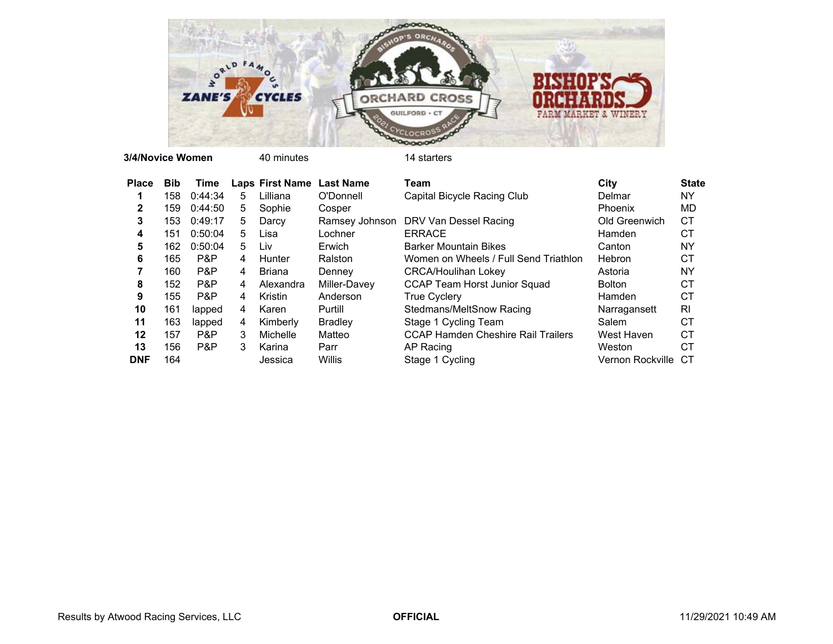

**3/4/Novice Women**

| <b>Place</b> | <b>Bib</b> | Time    |    | <b>Laps First Name</b> | <b>Last Name</b> | Team                                      | City             | <b>State</b> |
|--------------|------------|---------|----|------------------------|------------------|-------------------------------------------|------------------|--------------|
|              | 158        | 0:44:34 | 5. | Lilliana               | O'Donnell        | Capital Bicycle Racing Club               | Delmar           | NY           |
| $\mathbf{2}$ | 159        | 0:44:50 | 5  | Sophie                 | Cosper           |                                           | Phoenix          | MD           |
| 3            | 153        | 0:49:17 | 5. | Darcy                  | Ramsey Johnson   | DRV Van Dessel Racing                     | Old Greenwich    | СT           |
| 4            | 151        | 0:50:04 | 5. | Lisa                   | Lochner          | <b>ERRACE</b>                             | Hamden           | СT           |
| 5            | 162        | 0:50:04 | 5. | Liv                    | Erwich           | <b>Barker Mountain Bikes</b>              | Canton           | NY           |
| 6            | 165        | P&P     | 4  | Hunter                 | Ralston          | Women on Wheels / Full Send Triathlon     | Hebron           | СT           |
|              | 160        | P&P     | 4  | Briana                 | Denney           | <b>CRCA/Houlihan Lokey</b>                | Astoria          | NY           |
| 8            | 152        | P&P     | 4  | Alexandra              | Miller-Davey     | <b>CCAP Team Horst Junior Squad</b>       | <b>Bolton</b>    | <b>CT</b>    |
| 9            | 155        | P&P     | 4  | Kristin                | Anderson         | <b>True Cyclery</b>                       | Hamden           | СT           |
| 10           | 161        | lapped  | 4  | Karen                  | Purtill          | Stedmans/MeltSnow Racing                  | Narragansett     | RI           |
| 11           | 163        | lapped  | 4  | Kimberly               | <b>Bradley</b>   | Stage 1 Cycling Team                      | Salem            | <b>CT</b>    |
| 12           | 157        | P&P     | 3  | Michelle               | Matteo           | <b>CCAP Hamden Cheshire Rail Trailers</b> | West Haven       | СT           |
| 13           | 156        | P&P     | 3  | Karina                 | Parr             | AP Racing                                 | Weston           | СT           |
| <b>DNF</b>   | 164        |         |    | Jessica                | Willis           | Stage 1 Cycling                           | Vernon Rockville | СT           |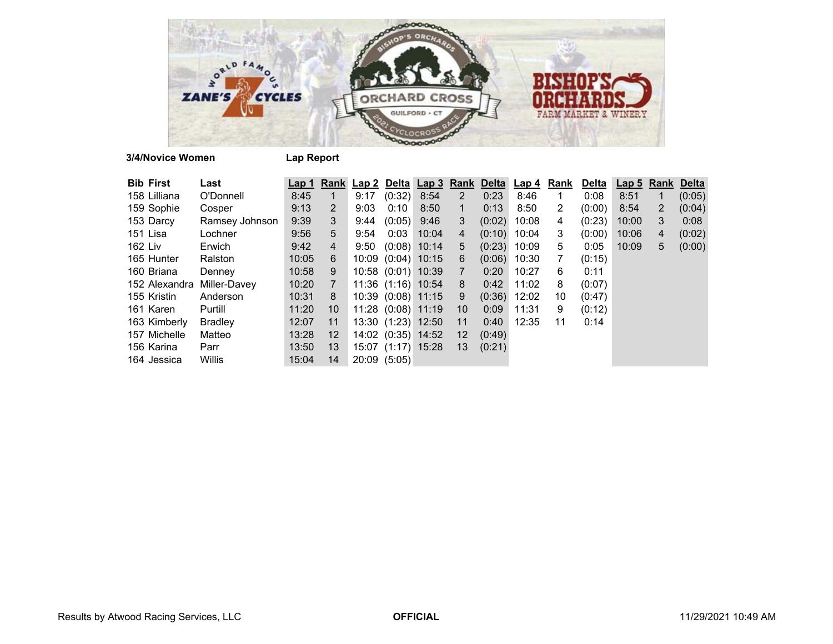

**3/4/Novice Women Lap Report**

| <b>Bib First</b> | Last           | Lap 1 |                | Rank Lap 2 Delta Lap 3 Rank |                    |                    |                | <b>Delta</b> | <u>Lap 4</u> | Rank           | <b>Delta</b> | <b>Lap 5 Rank Delta</b> |   |        |
|------------------|----------------|-------|----------------|-----------------------------|--------------------|--------------------|----------------|--------------|--------------|----------------|--------------|-------------------------|---|--------|
| 158 Lilliana     | O'Donnell      | 8:45  |                | 9:17                        | $(0:32)$ 8:54      |                    | $\overline{2}$ | 0:23         | 8:46         | 1              | 0:08         | 8:51                    |   | (0:05) |
| 159 Sophie       | Cosper         | 9:13  | 2              | 9:03                        | $0:10^{-5}$        | 8:50               | 1              | 0:13         | 8:50         | $\overline{2}$ | (0:00)       | 8:54                    | 2 | (0:04) |
| 153 Darcy        | Ramsey Johnson | 9:39  | 3              | 9:44                        | $(0:05)$ 9:46      |                    | 3              | (0:02)       | 10:08        | 4              | (0:23)       | 10:00                   | 3 | 0:08   |
| 151 Lisa         | Lochner        | 9:56  | 5              | 9:54                        | 0:03               | 10:04              | 4              | (0:10)       | 10:04        | 3              | (0:00)       | 10:06                   | 4 | (0:02) |
| 162 Liv          | Erwich         | 9:42  | 4              | 9:50                        | $(0:08)$ 10:14     |                    | 5              | (0:23)       | 10:09        | 5              | 0:05         | 10:09                   | 5 | (0:00) |
| 165 Hunter       | Ralston        | 10:05 | 6              |                             | 10:09 (0:04) 10:15 |                    | 6              | (0:06)       | 10:30        | 7              | (0:15)       |                         |   |        |
| 160 Briana       | Denney         | 10:58 | 9              |                             | 10:58 (0:01) 10:39 |                    | $\overline{7}$ | 0:20         | 10:27        | 6              | 0:11         |                         |   |        |
| 152 Alexandra    | Miller-Davey   | 10:20 | $\overline{7}$ |                             |                    | 11:36 (1:16) 10:54 | 8              | 0:42         | 11:02        | 8              | (0:07)       |                         |   |        |
| 155 Kristin      | Anderson       | 10:31 | 8              |                             |                    | 10:39 (0:08) 11:15 | 9              | (0:36)       | 12:02        | 10             | (0:47)       |                         |   |        |
| 161 Karen        | Purtill        | 11:20 | 10             |                             | 11:28 (0:08) 11:19 |                    | 10             | 0:09         | 11:31        | 9              | (0:12)       |                         |   |        |
| 163 Kimberly     | <b>Bradley</b> | 12:07 | 11             |                             | 13:30 (1:23) 12:50 |                    | 11             | 0:40         | 12:35        | 11             | 0:14         |                         |   |        |
| 157 Michelle     | Matteo         | 13:28 | 12             |                             | 14:02 (0:35) 14:52 |                    | $12 \,$        | (0:49)       |              |                |              |                         |   |        |
| 156 Karina       | Parr           | 13:50 | 13             |                             | 15:07 (1:17) 15:28 |                    | 13             | (0:21)       |              |                |              |                         |   |        |
| 164 Jessica      | Willis         | 15:04 | 14             |                             | 20:09(5:05)        |                    |                |              |              |                |              |                         |   |        |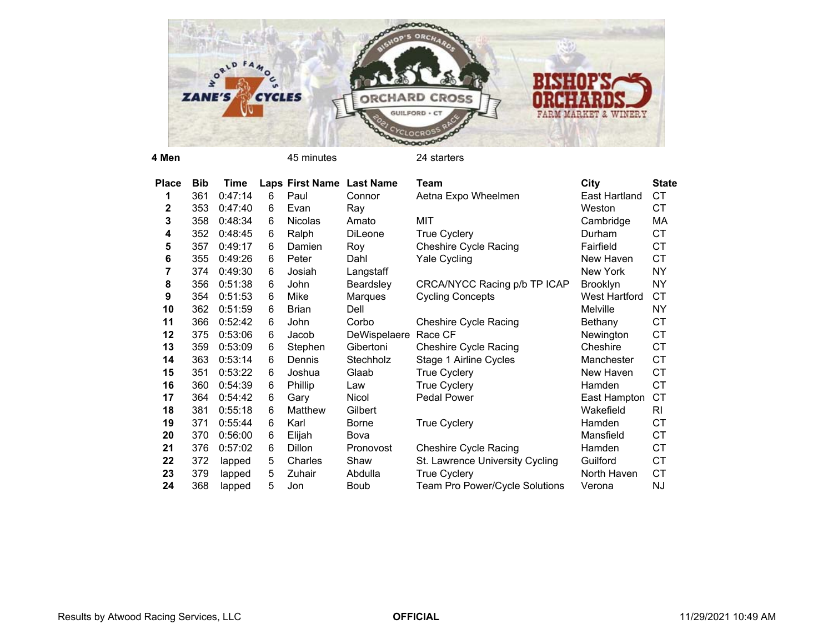

**4 Men**

45 minutes 24 starters

| <b>Place</b> | <b>Bib</b> | Time    |   | Laps First Name Last Name |              | Team                            | City            | <b>State</b> |
|--------------|------------|---------|---|---------------------------|--------------|---------------------------------|-----------------|--------------|
| 1            | 361        | 0:47:14 | 6 | Paul                      | Connor       | Aetna Expo Wheelmen             | East Hartland   | CT           |
| $\mathbf{2}$ | 353        | 0:47:40 | 6 | Evan                      | Ray          |                                 | Weston          | СT           |
| 3            | 358        | 0:48:34 | 6 | Nicolas                   | Amato        | MIT                             | Cambridge       | МA           |
| 4            | 352        | 0:48:45 | 6 | Ralph                     | DiLeone      | <b>True Cyclery</b>             | Durham          | CT           |
| 5            | 357        | 0:49:17 | 6 | Damien                    | Roy          | <b>Cheshire Cycle Racing</b>    | Fairfield       | CT           |
| 6            | 355        | 0:49:26 | 6 | Peter                     | Dahl         | Yale Cycling                    | New Haven       | СT           |
| 7            | 374        | 0:49:30 | 6 | Josiah                    | Langstaff    |                                 | New York        | <b>NY</b>    |
| 8            | 356        | 0:51:38 | 6 | John                      | Beardsley    | CRCA/NYCC Racing p/b TP ICAP    | <b>Brooklyn</b> | NΥ           |
| 9            | 354        | 0:51:53 | 6 | Mike                      | Marques      | <b>Cycling Concepts</b>         | West Hartford   | <b>CT</b>    |
| 10           | 362        | 0:51:59 | 6 | <b>Brian</b>              | Dell         |                                 | Melville        | NΥ           |
| 11           | 366        | 0:52:42 | 6 | John                      | Corbo        | <b>Cheshire Cycle Racing</b>    | Bethany         | CT           |
| 12           | 375        | 0:53:06 | 6 | Jacob                     | DeWispelaere | Race CF                         | Newington       | СT           |
| 13           | 359        | 0:53:09 | 6 | Stephen                   | Gibertoni    | <b>Cheshire Cycle Racing</b>    | Cheshire        | CT           |
| 14           | 363        | 0:53:14 | 6 | Dennis                    | Stechholz    | Stage 1 Airline Cycles          | Manchester      | <b>CT</b>    |
| 15           | 351        | 0:53:22 | 6 | Joshua                    | Glaab        | <b>True Cyclery</b>             | New Haven       | <b>CT</b>    |
| 16           | 360        | 0:54:39 | 6 | Phillip                   | Law          | <b>True Cyclery</b>             | Hamden          | CT           |
| 17           | 364        | 0:54:42 | 6 | Gary                      | Nicol        | Pedal Power                     | East Hampton    | <b>CT</b>    |
| 18           | 381        | 0:55:18 | 6 | Matthew                   | Gilbert      |                                 | Wakefield       | RI           |
| 19           | 371        | 0:55:44 | 6 | Karl                      | <b>Borne</b> | <b>True Cyclery</b>             | Hamden          | CT           |
| 20           | 370        | 0:56:00 | 6 | Elijah                    | Bova         |                                 | Mansfield       | СT           |
| 21           | 376        | 0:57:02 | 6 | <b>Dillon</b>             | Pronovost    | <b>Cheshire Cycle Racing</b>    | Hamden          | CT           |
| 22           | 372        | lapped  | 5 | Charles                   | Shaw         | St. Lawrence University Cycling | Guilford        | CT           |
| 23           | 379        | lapped  | 5 | Zuhair                    | Abdulla      | <b>True Cyclery</b>             | North Haven     | <b>CT</b>    |
| 24           | 368        | lapped  | 5 | Jon                       | Boub         | Team Pro Power/Cycle Solutions  | Verona          | ΝJ           |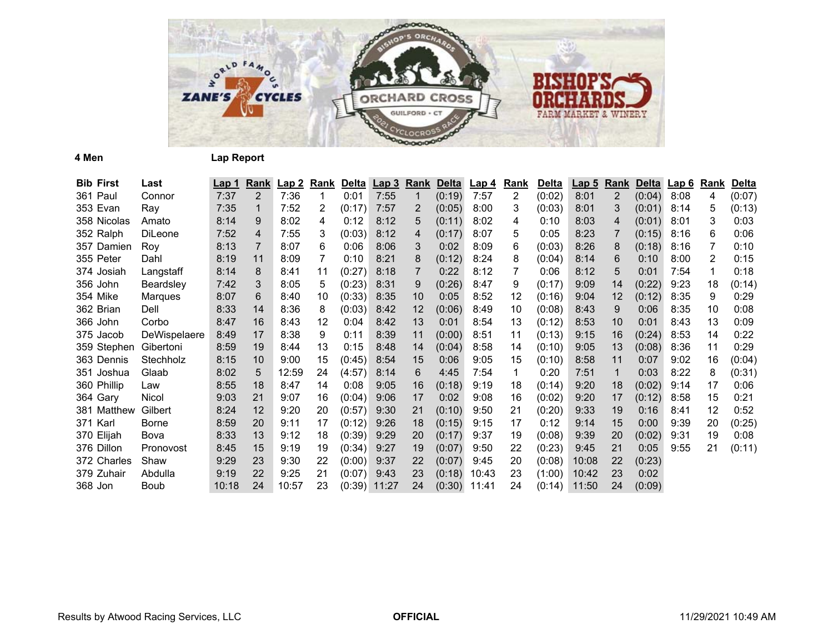

**4 Men Lap Report**

| <b>Bib First</b> | Last         | <u>Lap 1</u> | <u>Rank</u>    | Lap2  | <u>Rank</u> | <b>Delta</b> | Lap3  | <b>Rank</b>     | <b>Delta</b> | <u>Lap 4</u> | <b>Rank</b> | <b>Delta</b> | <u>Lap 5</u> | <b>Rank</b> |        | Delta Lap 6 | <u>Rank</u> | <b>Delta</b> |
|------------------|--------------|--------------|----------------|-------|-------------|--------------|-------|-----------------|--------------|--------------|-------------|--------------|--------------|-------------|--------|-------------|-------------|--------------|
| 361 Paul         | Connor       | 7:37         | $\overline{2}$ | 7:36  |             | 0:01         | 7:55  | 1               | (0:19)       | 7:57         | 2           | (0:02)       | 8:01         | 2           | (0:04) | 8:08        | 4           | (0:07)       |
| 353 Evan         | Ray          | 7:35         | 1              | 7:52  | 2           | (0:17)       | 7:57  | 2               | (0:05)       | 8:00         | 3           | (0:03)       | 8:01         | 3           | (0:01) | 8:14        | 5           | (0:13)       |
| 358 Nicolas      | Amato        | 8:14         | 9              | 8:02  | 4           | 0:12         | 8:12  | 5               | (0:11)       | 8:02         | 4           | 0:10         | 8:03         | 4           | (0:01) | 8:01        | 3           | 0:03         |
| 352 Ralph        | DiLeone      | 7:52         | 4              | 7:55  | 3           | (0:03)       | 8:12  | 4               | (0:17)       | 8:07         | 5           | 0:05         | 8:23         |             | (0:15) | 8:16        | 6           | 0:06         |
| 357 Damien       | Roy          | 8:13         | 7              | 8:07  | 6           | 0:06         | 8:06  | 3               | 0:02         | 8:09         | 6           | (0:03)       | 8:26         | 8           | (0:18) | 8:16        | 7           | 0:10         |
| 355 Peter        | Dahl         | 8:19         | 11             | 8:09  | 7           | 0:10         | 8:21  | 8               | (0:12)       | 8:24         | 8           | (0:04)       | 8:14         | 6           | 0:10   | 8:00        | 2           | 0:15         |
| 374 Josiah       | Langstaff    | 8:14         | 8              | 8:41  | 11          | (0:27)       | 8:18  |                 | 0:22         | 8:12         | 7           | 0:06         | 8:12         | 5           | 0:01   | 7:54        | -1          | 0:18         |
| 356 John         | Beardsley    | 7:42         | 3              | 8:05  | 5           | (0:23)       | 8:31  | 9               | (0:26)       | 8:47         | 9           | (0:17)       | 9:09         | 14          | (0:22) | 9:23        | 18          | (0:14)       |
| 354 Mike         | Marques      | 8:07         | 6              | 8:40  | 10          | (0:33)       | 8:35  | 10 <sup>°</sup> | 0:05         | 8:52         | 12          | (0:16)       | 9:04         | 12          | (0:12) | 8:35        | 9           | 0:29         |
| 362 Brian        | Dell         | 8:33         | 14             | 8:36  | 8           | (0:03)       | 8:42  | 12              | (0:06)       | 8:49         | 10          | (0:08)       | 8:43         | 9           | 0:06   | 8:35        | 10          | 0:08         |
| 366 John         | Corbo        | 8:47         | 16             | 8:43  | 12          | 0:04         | 8:42  | 13              | 0:01         | 8:54         | 13          | (0:12)       | 8:53         | 10          | 0:01   | 8:43        | 13          | 0:09         |
| 375 Jacob        | DeWispelaere | 8:49         | 17             | 8:38  | 9           | 0:11         | 8:39  | 11              | (0:00)       | 8:51         | 11          | (0:13)       | 9:15         | 16          | (0:24) | 8:53        | 14          | 0:22         |
| 359 Stephen      | Gibertoni    | 8:59         | 19             | 8:44  | 13          | 0:15         | 8:48  | 14              | (0:04)       | 8:58         | 14          | (0:10)       | 9:05         | 13          | (0:08) | 8:36        | 11          | 0:29         |
| 363 Dennis       | Stechholz    | 8:15         | 10             | 9:00  | 15          | (0:45)       | 8:54  | 15              | 0:06         | 9:05         | 15          | (0:10)       | 8:58         | 11          | 0:07   | 9:02        | 16          | (0:04)       |
| 351 Joshua       | Glaab        | 8:02         | 5              | 12:59 | 24          | (4:57)       | 8:14  | 6               | 4:45         | 7:54         | 1           | 0:20         | 7:51         | 1           | 0:03   | 8:22        | 8           | (0:31)       |
| 360 Phillip      | Law          | 8:55         | 18             | 8:47  | 14          | 0:08         | 9:05  | 16              | (0:18)       | 9:19         | 18          | (0:14)       | 9:20         | 18          | (0:02) | 9:14        | 17          | 0:06         |
| 364 Gary         | Nicol        | 9:03         | 21             | 9:07  | 16          | (0:04)       | 9:06  | 17              | 0:02         | 9:08         | 16          | (0:02)       | 9:20         | 17          | (0:12) | 8:58        | 15          | 0:21         |
| 381 Matthew      | Gilbert      | 8:24         | 12             | 9:20  | 20          | (0:57)       | 9:30  | 21              | (0:10)       | 9:50         | 21          | (0:20)       | 9:33         | 19          | 0:16   | 8:41        | 12          | 0:52         |
| 371 Karl         | <b>Borne</b> | 8:59         | 20             | 9:11  | 17          | (0:12)       | 9:26  | 18              | (0:15)       | 9:15         | 17          | 0:12         | 9:14         | 15          | 0:00   | 9:39        | 20          | (0:25)       |
| 370 Elijah       | Bova         | 8:33         | 13             | 9:12  | 18          | (0:39)       | 9:29  | 20              | (0:17)       | 9:37         | 19          | (0:08)       | 9:39         | 20          | (0:02) | 9:31        | 19          | 0:08         |
| 376 Dillon       | Pronovost    | 8:45         | 15             | 9:19  | 19          | (0:34)       | 9:27  | 19              | (0:07)       | 9:50         | 22          | (0:23)       | 9:45         | 21          | 0:05   | 9:55        | 21          | (0:11)       |
| 372 Charles      | Shaw         | 9:29         | 23             | 9:30  | 22          | (0:00)       | 9:37  | 22              | (0:07)       | 9:45         | 20          | (0:08)       | 10:08        | 22          | (0:23) |             |             |              |
| 379 Zuhair       | Abdulla      | 9:19         | 22             | 9:25  | 21          | (0:07)       | 9:43  | 23              | (0:18)       | 10:43        | 23          | (1:00)       | 10:42        | 23          | 0:02   |             |             |              |
| 368 Jon          | <b>Boub</b>  | 10:18        | 24             | 10:57 | 23          | (0:39)       | 11:27 | 24              | (0:30)       | 11:41        | 24          | (0:14)       | 11:50        | 24          | (0:09) |             |             |              |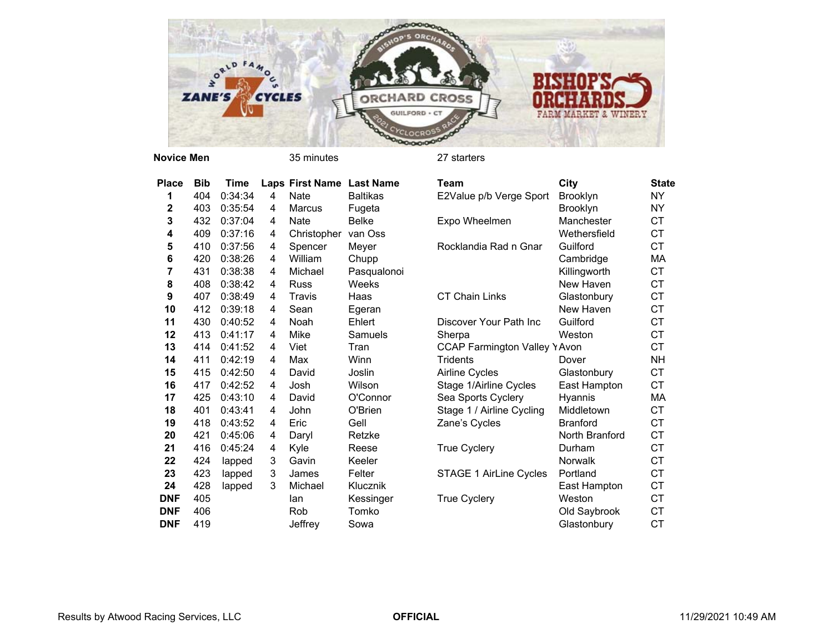

**Novice Men**

| Place        | <b>Bib</b> | <b>Time</b> |   | Laps First Name Last Name |                 | <b>Team</b>                         | City            | <b>State</b> |
|--------------|------------|-------------|---|---------------------------|-----------------|-------------------------------------|-----------------|--------------|
| 1            | 404        | 0:34:34     | 4 | <b>Nate</b>               | <b>Baltikas</b> | E2Value p/b Verge Sport             | <b>Brooklyn</b> | <b>NY</b>    |
| $\mathbf{2}$ | 403        | 0:35:54     | 4 | Marcus                    | Fugeta          |                                     | <b>Brooklyn</b> | <b>NY</b>    |
| 3            | 432        | 0:37:04     | 4 | Nate                      | <b>Belke</b>    | Expo Wheelmen                       | Manchester      | CT           |
| 4            | 409        | 0:37:16     | 4 | Christopher               | van Oss         |                                     | Wethersfield    | <b>CT</b>    |
| 5            | 410        | 0:37:56     | 4 | Spencer                   | Meyer           | Rocklandia Rad n Gnar               | Guilford        | <b>CT</b>    |
| 6            | 420        | 0:38:26     | 4 | William                   | Chupp           |                                     | Cambridge       | МA           |
| 7            | 431        | 0:38:38     | 4 | Michael                   | Pasqualonoi     |                                     | Killingworth    | CT           |
| 8            | 408        | 0:38:42     | 4 | <b>Russ</b>               | Weeks           |                                     | New Haven       | <b>CT</b>    |
| 9            | 407        | 0:38:49     | 4 | Travis                    | Haas            | <b>CT Chain Links</b>               | Glastonbury     | <b>CT</b>    |
| 10           | 412        | 0:39:18     | 4 | Sean                      | Egeran          |                                     | New Haven       | <b>CT</b>    |
| 11           | 430        | 0:40:52     | 4 | Noah                      | Ehlert          | Discover Your Path Inc              | Guilford        | CT           |
| 12           | 413        | 0:41:17     | 4 | Mike                      | <b>Samuels</b>  | Sherpa                              | Weston          | <b>CT</b>    |
| 13           | 414        | 0:41:52     | 4 | Viet                      | Tran            | <b>CCAP Farmington Valley YAvon</b> |                 | <b>CT</b>    |
| 14           | 411        | 0:42:19     | 4 | Max                       | Winn            | <b>Tridents</b>                     | Dover           | <b>NH</b>    |
| 15           | 415        | 0:42:50     | 4 | David                     | Joslin          | Airline Cycles                      | Glastonbury     | <b>CT</b>    |
| 16           | 417        | 0:42:52     | 4 | Josh                      | Wilson          | Stage 1/Airline Cycles              | East Hampton    | <b>CT</b>    |
| 17           | 425        | 0:43:10     | 4 | David                     | O'Connor        | Sea Sports Cyclery                  | Hyannis         | МA           |
| 18           | 401        | 0:43:41     | 4 | John                      | O'Brien         | Stage 1 / Airline Cycling           | Middletown      | <b>CT</b>    |
| 19           | 418        | 0:43:52     | 4 | Eric                      | Gell            | Zane's Cycles                       | <b>Branford</b> | <b>CT</b>    |
| 20           | 421        | 0:45:06     | 4 | Daryl                     | Retzke          |                                     | North Branford  | CT           |
| 21           | 416        | 0:45:24     | 4 | Kyle                      | Reese           | <b>True Cyclery</b>                 | Durham          | <b>CT</b>    |
| 22           | 424        | lapped      | 3 | Gavin                     | Keeler          |                                     | <b>Norwalk</b>  | <b>CT</b>    |
| 23           | 423        | lapped      | 3 | James                     | Felter          | STAGE 1 AirLine Cycles              | Portland        | CT           |
| 24           | 428        | lapped      | 3 | Michael                   | Klucznik        |                                     | East Hampton    | <b>CT</b>    |
| <b>DNF</b>   | 405        |             |   | lan                       | Kessinger       | <b>True Cyclery</b>                 | Weston          | <b>CT</b>    |
| <b>DNF</b>   | 406        |             |   | Rob                       | Tomko           |                                     | Old Saybrook    | CT           |
| <b>DNF</b>   | 419        |             |   | Jeffrev                   | Sowa            |                                     | Glastonbury     | <b>CT</b>    |

| cе | <b>Bib</b> | Time    |   | Laps First Name Last Name |                 | <b>Team</b>                         | City            | <b>State</b> |
|----|------------|---------|---|---------------------------|-----------------|-------------------------------------|-----------------|--------------|
|    | 404        | 0:34:34 | 4 | Nate                      | <b>Baltikas</b> | E2Value p/b Verge Sport             | <b>Brooklyn</b> | <b>NY</b>    |
|    | 403        | 0:35:54 | 4 | Marcus                    | Fugeta          |                                     | <b>Brooklyn</b> | <b>NY</b>    |
|    | 432        | 0:37:04 | 4 | <b>Nate</b>               | <b>Belke</b>    | Expo Wheelmen                       | Manchester      | <b>CT</b>    |
|    | 409        | 0:37:16 | 4 | Christopher               | van Oss         |                                     | Wethersfield    | <b>CT</b>    |
|    | 410        | 0:37:56 | 4 | Spencer                   | Meyer           | Rocklandia Rad n Gnar               | Guilford        | <b>CT</b>    |
|    | 420        | 0:38:26 | 4 | William                   | Chupp           |                                     | Cambridge       | МA           |
|    | 431        | 0:38:38 | 4 | Michael                   | Pasqualonoi     |                                     | Killingworth    | <b>CT</b>    |
|    | 408        | 0:38:42 | 4 | <b>Russ</b>               | Weeks           |                                     | New Haven       | <b>CT</b>    |
|    | 407        | 0:38:49 | 4 | Travis                    | Haas            | <b>CT Chain Links</b>               | Glastonbury     | <b>CT</b>    |
|    | 412        | 0:39:18 | 4 | Sean                      | Egeran          |                                     | New Haven       | <b>CT</b>    |
|    | 430        | 0:40:52 | 4 | Noah                      | Ehlert          | Discover Your Path Inc              | Guilford        | <b>CT</b>    |
|    | 413        | 0:41:17 | 4 | Mike                      | Samuels         | Sherpa                              | Weston          | <b>CT</b>    |
|    | 414        | 0:41:52 | 4 | Viet                      | Tran            | <b>CCAP Farmington Valley YAvon</b> |                 | <b>CT</b>    |
|    | 411        | 0:42:19 | 4 | Max                       | Winn            | <b>Tridents</b>                     | Dover           | <b>NH</b>    |
|    | 415        | 0:42:50 | 4 | David                     | Joslin          | Airline Cycles                      | Glastonbury     | <b>CT</b>    |
|    | 417        | 0:42:52 | 4 | Josh                      | Wilson          | Stage 1/Airline Cycles              | East Hampton    | <b>CT</b>    |
|    | 425        | 0:43:10 | 4 | David                     | O'Connor        | Sea Sports Cyclery                  | Hyannis         | МA           |
|    | 401        | 0:43:41 | 4 | John                      | O'Brien         | Stage 1 / Airline Cycling           | Middletown      | <b>CT</b>    |
|    | 418        | 0:43:52 | 4 | Eric                      | Gell            | Zane's Cycles                       | <b>Branford</b> | <b>CT</b>    |
|    | 421        | 0:45:06 | 4 | Daryl                     | Retzke          |                                     | North Branford  | <b>CT</b>    |
|    | 416        | 0:45:24 | 4 | Kyle                      | Reese           | <b>True Cyclery</b>                 | Durham          | <b>CT</b>    |
|    | 424        | lapped  | 3 | Gavin                     | Keeler          |                                     | <b>Norwalk</b>  | CT           |
|    | 423        | lapped  | 3 | James                     | Felter          | STAGE 1 AirLine Cycles              | Portland        | <b>CT</b>    |
|    | 428        | lapped  | 3 | Michael                   | Klucznik        |                                     | East Hampton    | CT           |
| F  | 405        |         |   | lan                       | Kessinger       | <b>True Cyclery</b>                 | Weston          | CT           |
| F  | 406        |         |   | Rob                       | Tomko           |                                     | Old Saybrook    | CT           |
| F  | 419        |         |   | Jeffrey                   | Sowa            |                                     | Glastonbury     | <b>CT</b>    |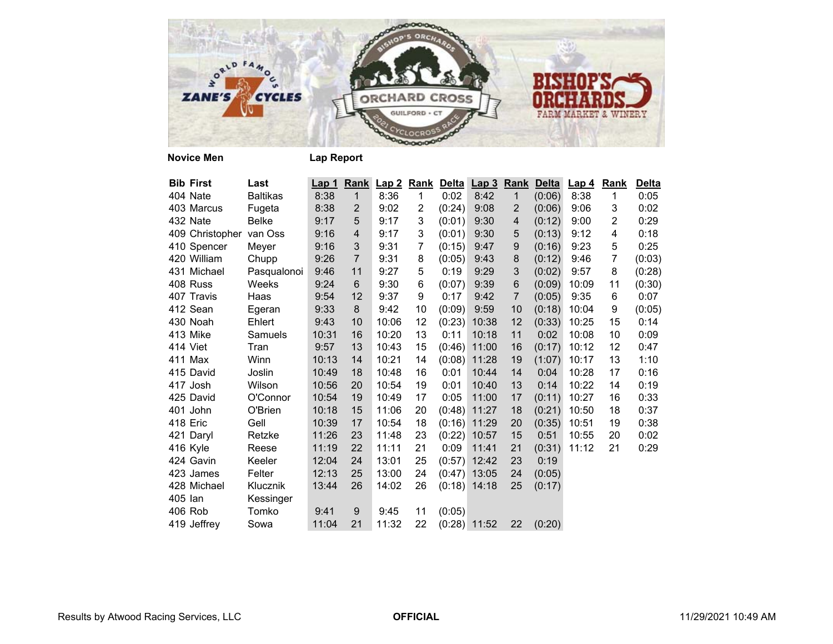

| <b>Bib First</b> | Last            | Lap 1 |                | Rank Lap 2 |                |        | Rank Delta Lap 3 Rank |                  | <b>Delta</b> | Lap <sub>4</sub> | Rank           | <b>Delta</b> |
|------------------|-----------------|-------|----------------|------------|----------------|--------|-----------------------|------------------|--------------|------------------|----------------|--------------|
| 404 Nate         | <b>Baltikas</b> | 8:38  | $\mathbf{1}$   | 8:36       | $\mathbf{1}$   | 0:02   | 8:42                  | $\mathbf{1}$     | (0:06)       | 8:38             | 1              | 0:05         |
| 403 Marcus       | Fugeta          | 8:38  | $\overline{2}$ | 9:02       | $\overline{2}$ | (0:24) | 9:08                  | 2                | (0:06)       | 9:06             | 3              | 0:02         |
| 432 Nate         | Belke           | 9:17  | 5              | 9:17       | 3              | (0:01) | 9:30                  | $\overline{4}$   | (0:12)       | 9:00             | 2              | 0:29         |
| 409 Christopher  | van Oss         | 9:16  | 4              | 9:17       | 3              | (0:01) | 9:30                  | 5                | (0:13)       | 9:12             | 4              | 0:18         |
| 410 Spencer      | Meyer           | 9:16  | 3              | 9:31       | 7              | (0:15) | 9:47                  | $\boldsymbol{9}$ | (0:16)       | 9:23             | 5              | 0:25         |
| 420 William      | Chupp           | 9:26  | $\overline{7}$ | 9:31       | 8              | (0:05) | 9:43                  | 8                | (0:12)       | 9:46             | $\overline{7}$ | (0:03)       |
| 431 Michael      | Pasqualonoi     | 9:46  | 11             | 9:27       | 5              | 0:19   | 9:29                  | 3                | (0:02)       | 9:57             | 8              | (0:28)       |
| 408 Russ         | Weeks           | 9:24  | 6              | 9:30       | 6              | (0:07) | 9:39                  | $\,6$            | (0:09)       | 10:09            | 11             | (0:30)       |
| 407 Travis       | Haas            | 9:54  | 12             | 9:37       | 9              | 0:17   | 9:42                  | $\overline{7}$   | (0:05)       | 9:35             | 6              | 0:07         |
| 412 Sean         | Egeran          | 9:33  | 8              | 9:42       | 10             | (0:09) | 9:59                  | 10               | (0:18)       | 10:04            | 9              | (0:05)       |
| 430 Noah         | Ehlert          | 9:43  | 10             | 10:06      | 12             |        | $(0:23)$ 10:38        | 12               | (0:33)       | 10:25            | 15             | 0:14         |
| 413 Mike         | Samuels         | 10:31 | 16             | 10:20      | 13             | 0:11   | 10:18                 | 11               | 0:02         | 10:08            | 10             | 0:09         |
| 414 Viet         | Tran            | 9:57  | 13             | 10:43      | 15             |        | $(0:46)$ 11:00        | 16               | (0:17)       | 10:12            | 12             | 0:47         |
| 411 Max          | Winn            | 10:13 | 14             | 10:21      | 14             |        | $(0:08)$ 11:28        | 19               | (1:07)       | 10:17            | 13             | 1:10         |
| 415 David        | Joslin          | 10:49 | 18             | 10:48      | 16             | 0:01   | 10:44                 | 14               | 0:04         | 10:28            | 17             | 0:16         |
| 417 Josh         | Wilson          | 10:56 | 20             | 10:54      | 19             | 0:01   | 10:40                 | 13               | 0:14         | 10:22            | 14             | 0:19         |
| 425 David        | O'Connor        | 10:54 | 19             | 10:49      | 17             | 0:05   | 11:00                 | 17               | (0:11)       | 10:27            | 16             | 0:33         |
| 401 John         | O'Brien         | 10:18 | 15             | 11:06      | 20             |        | $(0:48)$ 11:27        | 18               | (0:21)       | 10:50            | 18             | 0:37         |
| 418 Eric         | Gell            | 10:39 | 17             | 10:54      | 18             |        | $(0:16)$ 11:29        | 20               | (0:35)       | 10:51            | 19             | 0:38         |
| 421 Daryl        | Retzke          | 11:26 | 23             | 11:48      | 23             |        | $(0:22)$ 10:57        | 15               | 0:51         | 10:55            | 20             | 0:02         |
| 416 Kyle         | Reese           | 11:19 | 22             | 11:11      | 21             | 0:09   | 11:41                 | 21               | (0:31)       | 11:12            | 21             | 0:29         |
| 424 Gavin        | Keeler          | 12:04 | 24             | 13:01      | 25             |        | $(0:57)$ 12:42        | 23               | 0:19         |                  |                |              |
| 423 James        | Felter          | 12:13 | 25             | 13:00      | 24             |        | $(0.47)$ 13:05        | 24               | (0:05)       |                  |                |              |
| 428 Michael      | Klucznik        | 13:44 | 26             | 14:02      | 26             |        | $(0:18)$ 14:18        | 25               | (0:17)       |                  |                |              |
| 405 lan          | Kessinger       |       |                |            |                |        |                       |                  |              |                  |                |              |
| 406 Rob          | Tomko           | 9:41  | 9              | 9:45       | 11             | (0:05) |                       |                  |              |                  |                |              |
| 419 Jeffrey      | Sowa            | 11:04 | 21             | 11:32      | 22             |        | $(0:28)$ 11:52        | 22               | (0:20)       |                  |                |              |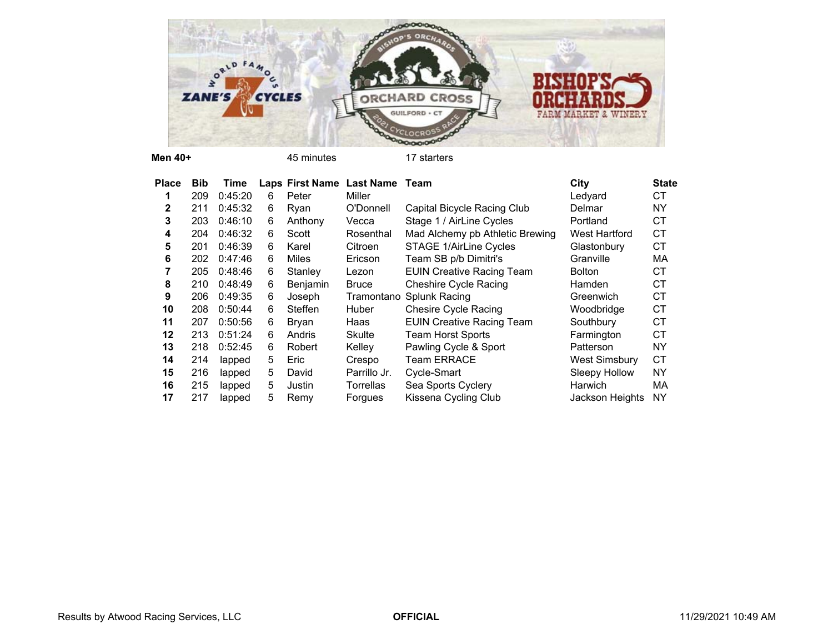

**Men 40+**

45 minutes 17 starters

| <b>Place</b> | <b>Bib</b> | Time    |    |          | Laps First Name Last Name Team |                                  | City                 | <b>State</b> |
|--------------|------------|---------|----|----------|--------------------------------|----------------------------------|----------------------|--------------|
|              | 209        | 0:45:20 | 6  | Peter    | Miller                         |                                  | Ledyard              | <b>CT</b>    |
| 2            | 211        | 0:45:32 | 6  | Ryan     | O'Donnell                      | Capital Bicycle Racing Club      | Delmar               | NY           |
| 3            | 203        | 0:46:10 | 6  | Anthony  | Vecca                          | Stage 1 / AirLine Cycles         | Portland             | <b>CT</b>    |
| 4            | 204        | 0:46:32 | 6  | Scott    | Rosenthal                      | Mad Alchemy pb Athletic Brewing  | <b>West Hartford</b> | <b>CT</b>    |
| 5            | 201        | 0:46:39 | 6  | Karel    | Citroen                        | <b>STAGE 1/AirLine Cycles</b>    | Glastonbury          | <b>CT</b>    |
| 6            | 202        | 0:47:46 | 6  | Miles    | Ericson                        | Team SB p/b Dimitri's            | Granville            | МA           |
|              | 205        | 0:48:46 | 6  | Stanley  | Lezon                          | <b>EUIN Creative Racing Team</b> | <b>Bolton</b>        | СT           |
| 8            | 210        | 0:48:49 | 6  | Benjamin | <b>Bruce</b>                   | <b>Cheshire Cycle Racing</b>     | Hamden               | <b>CT</b>    |
| 9            | 206        | 0:49:35 | 6  | Joseph   | Tramontano                     | <b>Splunk Racing</b>             | Greenwich            | <b>CT</b>    |
| 10           | 208        | 0:50:44 | 6  | Steffen  | Huber                          | <b>Chesire Cycle Racing</b>      | Woodbridge           | <b>CT</b>    |
| 11           | 207        | 0:50:56 | 6  | Bryan    | Haas                           | <b>EUIN Creative Racing Team</b> | Southbury            | <b>CT</b>    |
| 12           | 213        | 0:51:24 | 6  | Andris   | <b>Skulte</b>                  | Team Horst Sports                | Farmington           | <b>CT</b>    |
| 13           | 218        | 0:52:45 | 6  | Robert   | Kelley                         | Pawling Cycle & Sport            | Patterson            | NY           |
| 14           | 214        | lapped  | 5  | Eric     | Crespo                         | <b>Team ERRACE</b>               | <b>West Simsbury</b> | <b>CT</b>    |
| 15           | 216        | lapped  | 5. | David    | Parrillo Jr.                   | Cycle-Smart                      | Sleepy Hollow        | <b>NY</b>    |
| 16           | 215        | lapped  | 5  | Justin   | <b>Torrellas</b>               | Sea Sports Cyclery               | Harwich              | МA           |
| 17           | 217        | lapped  | 5  | Remy     | Forgues                        | Kissena Cycling Club             | Jackson Heights      | <b>NY</b>    |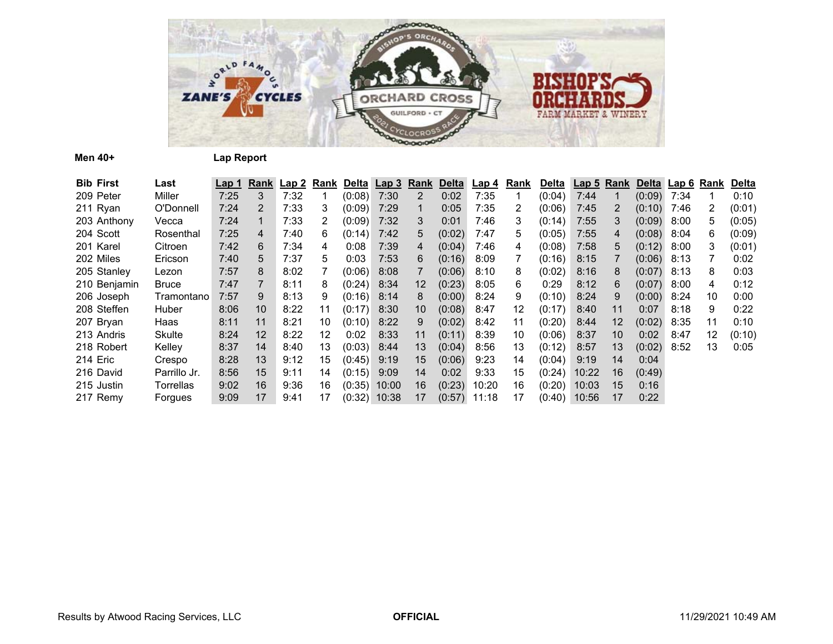

**Men 40+ Lap Report**

| <b>Bib First</b> | Last         | Lap 1 | Rank | Lap2 | <u>Rank</u>       |               | Delta Lap 3    | <b>Rank</b>           | <b>Delta</b> | Lap 4 | <u>Rank</u> | <b>Delta</b> | <b>Lap 5 Rank</b> |    |               | Delta Lap 6 | Rank                  | <b>Delta</b> |
|------------------|--------------|-------|------|------|-------------------|---------------|----------------|-----------------------|--------------|-------|-------------|--------------|-------------------|----|---------------|-------------|-----------------------|--------------|
| 209 Peter        | Miller       | 7:25  | 3    | 7:32 |                   | (0:08)        | 7:30           | $\mathbf{2}^{\prime}$ | 0:02         | 7:35  |             | (0:04)       | 7:44              |    | $(0:09)$ 7:34 |             |                       | 0:10         |
| 211 Ryan         | O'Donnell    | 7:24  | 2    | 7:33 | 3                 | (0:09)        | 7:29           |                       | 0:05         | 7:35  | 2           | (0:06)       | 7:45              | 2  | (0:10)        | 7:46        | $\mathbf{2}^{\prime}$ | (0:01)       |
| 203 Anthony      | Vecca        | 7:24  | 1    | 7:33 | 2                 | (0:09)        | 7:32           | 3                     | 0:01         | 7:46  | 3           | (0:14)       | 7:55              | 3  | (0:09)        | 8:00        | 5                     | (0:05)       |
| 204 Scott        | Rosenthal    | 7:25  | 4    | 7:40 | 6                 | (0:14)        | 7:42           | 5.                    | (0:02)       | 7:47  | 5           | (0:05)       | 7:55              | 4  | (0:08)        | 8:04        | 6                     | (0:09)       |
| 201 Karel        | Citroen      | 7:42  | 6    | 7:34 | 4                 | 0:08          | 7:39           | 4                     | (0:04)       | 7:46  | 4           | (0:08)       | 7:58              | 5  | (0:12)        | 8:00        | 3                     | (0:01)       |
| 202 Miles        | Ericson      | 7:40  | 5    | 7:37 | 5                 | 0:03          | 7:53           | 6                     | (0:16)       | 8:09  |             | (0:16)       | 8:15              |    | (0:06)        | 8:13        |                       | 0:02         |
| 205 Stanley      | Lezon        | 7:57  | 8    | 8:02 |                   | (0:06)        | 8:08           |                       | (0:06)       | 8:10  | 8           | (0:02)       | 8:16              | 8  | (0:07)        | 8:13        | 8                     | 0:03         |
| 210 Benjamin     | Bruce        | 7:47  |      | 8:11 | 8                 | (0:24)        | 8:34           | 12                    | (0:23)       | 8:05  | 6           | 0:29         | 8:12              | 6  | (0:07)        | 8:00        | 4                     | 0:12         |
| 206 Joseph       | Tramontano   | 7:57  | 9    | 8:13 | 9                 | $(0:16)$ 8:14 |                | 8                     | (0:00)       | 8:24  | 9           | (0:10)       | 8:24              | 9  | (0:00)        | 8:24        | 10                    | 0:00         |
| 208 Steffen      | Huber        | 8:06  | 10   | 8:22 | 11                | (0:17)        | 8:30           | 10                    | (0:08)       | 8:47  | 12          | (0:17)       | 8:40              | 11 | 0:07          | 8:18        | 9                     | 0:22         |
| 207 Bryan        | Haas         | 8:11  | 11   | 8:21 | 10                | (0:10)        | 8:22           | 9                     | (0:02)       | 8:42  | 11          | (0:20)       | 8:44              | 12 | (0:02)        | 8:35        | 11                    | 0:10         |
| 213 Andris       | Skulte       | 8:24  | 12   | 8:22 | $12 \overline{ }$ | 0:02          | 8:33           | 11                    | (0:11)       | 8:39  | 10          | (0:06)       | 8:37              | 10 | 0:02          | 8:47        | 12                    | (0:10)       |
| 218 Robert       | Kelley       | 8:37  | 14   | 8:40 | 13                | (0:03)        | 8:44           | 13                    | (0:04)       | 8:56  | 13          | (0:12)       | 8:57              | 13 | (0:02)        | 8:52        | 13                    | 0:05         |
| 214 Eric         | Crespo       | 8:28  | 13   | 9:12 | 15                | (0:45)        | 9:19           | 15                    | (0:06)       | 9:23  | 14          | (0:04)       | 9:19              | 14 | 0:04          |             |                       |              |
| 216 David        | Parrillo Jr. | 8:56  | 15   | 9:11 | 14                | (0:15)        | 9:09           | 14                    | 0:02         | 9:33  | 15          | (0:24)       | 10:22             | 16 | (0:49)        |             |                       |              |
| 215 Justin       | Torrellas    | 9:02  | 16   | 9:36 | 16                | (0:35)        | 10:00          | 16                    | (0:23)       | 10:20 | 16          | (0:20)       | 10:03             | 15 | 0:16          |             |                       |              |
| 217 Remy         | Forgues      | 9:09  | 17   | 9:41 | 17                |               | $(0:32)$ 10:38 | 17                    | (0:57)       | 11:18 | 17          | (0:40)       | 10:56             | 17 | 0:22          |             |                       |              |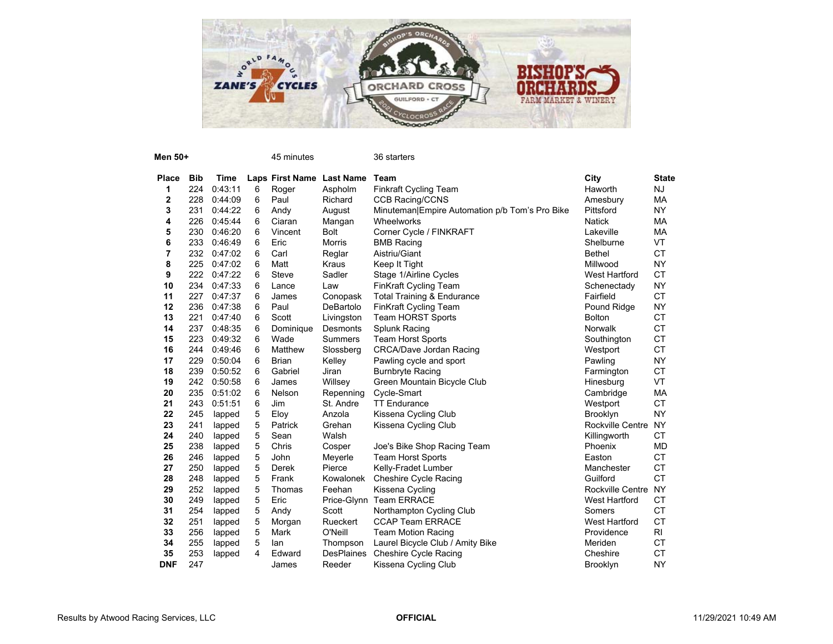

| Men 50+      |            |         |            | 45 minutes                |                   | 36 starters                                    |                         |              |
|--------------|------------|---------|------------|---------------------------|-------------------|------------------------------------------------|-------------------------|--------------|
| <b>Place</b> | <b>Bib</b> | Time    |            | Laps First Name Last Name |                   | Team                                           | City                    | <b>State</b> |
| 1            | 224        | 0:43:11 | 6          | Roger                     | Aspholm           | <b>Finkraft Cycling Team</b>                   | Haworth                 | <b>NJ</b>    |
| 2            | 228        | 0:44:09 | 6          | Paul                      | Richard           | <b>CCB Racing/CCNS</b>                         | Amesbury                | МA           |
| 3            | 231        | 0:44:22 | 6          | Andy                      | August            | Minuteman Empire Automation p/b Tom's Pro Bike | Pittsford               | <b>NY</b>    |
| 4            | 226        | 0:45:44 | 6          | Ciaran                    | Mangan            | Wheelworks                                     | <b>Natick</b>           | МA           |
| 5            | 230        | 0:46:20 | 6          | Vincent                   | <b>Bolt</b>       | Corner Cycle / FINKRAFT                        | Lakeville               | МA           |
| 6            | 233        | 0:46:49 | 6          | Eric                      | <b>Morris</b>     | <b>BMB Racing</b>                              | Shelburne               | <b>VT</b>    |
| 7            | 232        | 0:47:02 | 6          | Carl                      | Reglar            | Aistriu/Giant                                  | <b>Bethel</b>           | <b>CT</b>    |
| 8            | 225        | 0:47:02 | 6          | Matt                      | Kraus             | Keep It Tight                                  | Millwood                | <b>NY</b>    |
| 9            | 222        | 0:47:22 | 6          | Steve                     | Sadler            | Stage 1/Airline Cycles                         | <b>West Hartford</b>    | <b>CT</b>    |
| 10           | 234        | 0:47:33 | 6          | Lance                     | Law               | FinKraft Cycling Team                          | Schenectady             | NY.          |
| 11           | 227        | 0:47:37 | 6          | James                     | Conopask          | <b>Total Training &amp; Endurance</b>          | Fairfield               | <b>CT</b>    |
| 12           | 236        | 0:47:38 | 6          | Paul                      | DeBartolo         | <b>FinKraft Cycling Team</b>                   | Pound Ridge             | <b>NY</b>    |
| 13           | 221        | 0:47:40 | 6          | Scott                     | Livingston        | Team HORST Sports                              | Bolton                  | <b>CT</b>    |
| 14           | 237        | 0:48:35 | 6          | Dominique                 | Desmonts          | Splunk Racing                                  | <b>Norwalk</b>          | <b>CT</b>    |
| 15           | 223        | 0:49:32 | 6          | Wade                      | <b>Summers</b>    | Team Horst Sports                              | Southington             | <b>CT</b>    |
| 16           | 244        | 0:49:46 | 6          | Matthew                   | Slossberg         | <b>CRCA/Dave Jordan Racing</b>                 | Westport                | <b>CT</b>    |
| 17           | 229        | 0:50:04 | 6          | <b>Brian</b>              | Kelley            | Pawling cycle and sport                        | Pawling                 | <b>NY</b>    |
| 18           | 239        | 0:50:52 | 6          | Gabriel                   | Jiran             | <b>Burnbryte Racing</b>                        | Farmington              | <b>CT</b>    |
| 19           | 242        | 0:50:58 | 6          | James                     | Willsey           | Green Mountain Bicycle Club                    | Hinesburg               | VT           |
| 20           | 235        | 0:51:02 | 6          | Nelson                    | Repenning         | Cycle-Smart                                    | Cambridge               | MA           |
| 21           | 243        | 0:51:51 | 6          | Jim                       | St. Andre         | <b>TT Endurance</b>                            | Westport                | <b>CT</b>    |
| 22           | 245        | lapped  | 5          | Eloy                      | Anzola            | Kissena Cycling Club                           | <b>Brooklyn</b>         | <b>NY</b>    |
| 23           | 241        | lapped  | 5          | Patrick                   | Grehan            | Kissena Cycling Club                           | Rockville Centre        | <b>NY</b>    |
| 24           | 240        | lapped  | 5          | Sean                      | Walsh             |                                                | Killingworth            | <b>CT</b>    |
| 25           | 238        | lapped  | $\sqrt{5}$ | Chris                     | Cosper            | Joe's Bike Shop Racing Team                    | Phoenix                 | <b>MD</b>    |
| 26           | 246        | lapped  | 5          | John                      | Meyerle           | <b>Team Horst Sports</b>                       | Easton                  | <b>CT</b>    |
| 27           | 250        | lapped  | 5          | <b>Derek</b>              | Pierce            | Kelly-Fradet Lumber                            | Manchester              | <b>CT</b>    |
| 28           | 248        | lapped  | 5          | Frank                     | Kowalonek         | Cheshire Cycle Racing                          | Guilford                | <b>CT</b>    |
| 29           | 252        | lapped  | 5          | Thomas                    | Feehan            | Kissena Cycling                                | <b>Rockville Centre</b> | <b>NY</b>    |
| 30           | 249        | lapped  | 5          | Eric                      |                   | Price-Glynn Team ERRACE                        | <b>West Hartford</b>    | <b>CT</b>    |
| 31           | 254        | lapped  | 5          | Andy                      | Scott             | Northampton Cycling Club                       | Somers                  | <b>CT</b>    |
| 32           | 251        | lapped  | 5          | Morgan                    | Rueckert          | <b>CCAP Team ERRACE</b>                        | <b>West Hartford</b>    | <b>CT</b>    |
| 33           | 256        | lapped  | 5          | Mark                      | O'Neill           | <b>Team Motion Racing</b>                      | Providence              | RI           |
| 34           | 255        | lapped  | 5          | lan                       | Thompson          | Laurel Bicycle Club / Amity Bike               | Meriden                 | CT.          |
| 35           | 253        | lapped  | 4          | Edward                    | <b>DesPlaines</b> | <b>Cheshire Cycle Racing</b>                   | Cheshire                | <b>CT</b>    |
| <b>DNF</b>   | 247        |         |            | James                     | Reeder            | Kissena Cycling Club                           | <b>Brooklyn</b>         | <b>NY</b>    |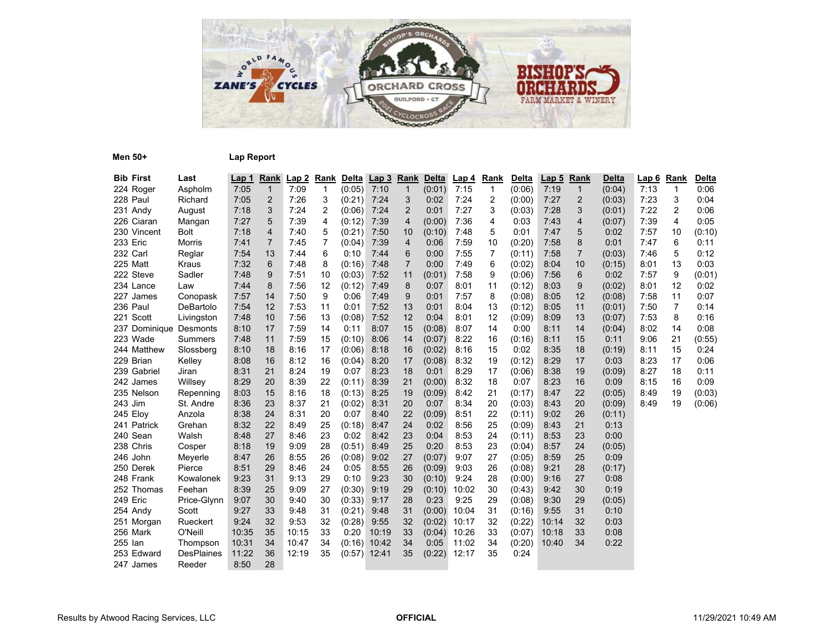

**Men 50+ Lap Report**

| <b>Bib First</b>       | Last              | <u>Lap 1</u> | <b>Rank</b>    | Lap2  | <b>Rank</b>    |        | Delta Lap 3 | <b>Rank</b>    | Delta  | <u>Lap 4</u> | Rank           | <b>Delta</b> | Lap <sub>5</sub> | Rank           | <b>Delta</b> | <u>Lap 6</u> | <b>Rank</b> | <b>Delta</b> |
|------------------------|-------------------|--------------|----------------|-------|----------------|--------|-------------|----------------|--------|--------------|----------------|--------------|------------------|----------------|--------------|--------------|-------------|--------------|
| 224 Roger              | Aspholm           | 7:05         | $\mathbf{1}$   | 7:09  | $\mathbf 1$    | (0:05) | 7:10        | $\mathbf{1}$   | (0:01) | 7:15         | $\mathbf{1}$   | (0:06)       | 7:19             | $\mathbf{1}$   | (0:04)       | 7:13         | $\mathbf 1$ | 0:06         |
| 228 Paul               | Richard           | 7:05         | 2              | 7:26  | 3              | (0:21) | 7:24        | 3              | 0:02   | 7:24         | 2              | (0:00)       | 7:27             | $\overline{2}$ | (0:03)       | 7:23         | 3           | 0:04         |
| 231 Andy               | August            | 7:18         | 3              | 7:24  | $\overline{2}$ | (0:06) | 7:24        | $\overline{2}$ | 0:01   | 7:27         | 3              | (0:03)       | 7:28             | 3              | (0:01)       | 7:22         | 2           | 0:06         |
| 226 Ciaran             | Mangan            | 7:27         | 5              | 7:39  | 4              | (0:12) | 7:39        | 4              | (0:00) | 7:36         | 4              | 0:03         | 7:43             | 4              | (0:07)       | 7:39         | 4           | 0:05         |
| 230 Vincent            | <b>Bolt</b>       | 7:18         | $\overline{4}$ | 7:40  | 5              | (0:21) | 7:50        | 10             | (0:10) | 7:48         | 5              | 0:01         | 7:47             | 5              | 0:02         | 7:57         | 10          | (0:10)       |
| 233 Eric               | Morris            | 7:41         | $\overline{7}$ | 7:45  | 7              | (0:04) | 7:39        | 4              | 0:06   | 7:59         | 10             | (0:20)       | 7:58             | 8              | 0:01         | 7:47         | 6           | 0:11         |
| 232 Carl               | Reglar            | 7:54         | 13             | 7:44  | 6              | 0:10   | 7:44        | 6              | 0:00   | 7:55         | $\overline{7}$ | (0:11)       | 7:58             | $\overline{7}$ | (0:03)       | 7:46         | 5           | 0:12         |
| 225 Matt               | Kraus             | 7:32         | 6              | 7:48  | 8              | (0:16) | 7:48        | $\overline{7}$ | 0:00   | 7:49         | 6              | (0:02)       | 8:04             | 10             | (0:15)       | 8:01         | 13          | 0:03         |
| 222 Steve              | Sadler            | 7:48         | 9              | 7:51  | 10             | (0:03) | 7:52        | 11             | (0:01) | 7:58         | 9              | (0:06)       | 7:56             | 6              | 0:02         | 7:57         | 9           | (0:01)       |
| 234 Lance              | Law               | 7:44         | 8              | 7:56  | 12             | (0:12) | 7:49        | 8              | 0:07   | 8:01         | 11             | (0:12)       | 8:03             | 9              | (0:02)       | 8:01         | 12          | 0:02         |
| 227 James              | Conopask          | 7:57         | 14             | 7:50  | 9              | 0:06   | 7:49        | 9              | 0:01   | 7:57         | 8              | (0:08)       | 8:05             | 12             | (0:08)       | 7:58         | 11          | 0:07         |
| 236 Paul               | DeBartolo         | 7:54         | 12             | 7:53  | 11             | 0:01   | 7:52        | 13             | 0:01   | 8:04         | 13             | (0:12)       | 8:05             | 11             | (0:01)       | 7:50         | 7           | 0:14         |
| 221 Scott              | Livingston        | 7:48         | 10             | 7:56  | 13             | (0:08) | 7:52        | 12             | 0:04   | 8:01         | 12             | (0:09)       | 8:09             | 13             | (0:07)       | 7:53         | 8           | 0:16         |
| 237 Dominique Desmonts |                   | 8:10         | 17             | 7:59  | 14             | 0:11   | 8:07        | 15             | (0:08) | 8:07         | 14             | 0:00         | 8:11             | 14             | (0:04)       | 8:02         | 14          | 0:08         |
| 223 Wade               | Summers           | 7:48         | 11             | 7:59  | 15             | (0:10) | 8:06        | 14             | (0:07) | 8:22         | 16             | (0:16)       | 8:11             | 15             | 0:11         | 9:06         | 21          | (0:55)       |
| 244 Matthew            | Slossberg         | 8:10         | 18             | 8:16  | 17             | (0:06) | 8:18        | 16             | (0:02) | 8:16         | 15             | 0:02         | 8:35             | 18             | (0:19)       | 8:11         | 15          | 0:24         |
| 229 Brian              | Kelley            | 8:08         | 16             | 8:12  | 16             | (0:04) | 8:20        | 17             | (0:08) | 8:32         | 19             | (0:12)       | 8:29             | 17             | 0:03         | 8:23         | 17          | 0:06         |
| 239 Gabriel            | Jiran             | 8:31         | 21             | 8:24  | 19             | 0:07   | 8:23        | 18             | 0:01   | 8:29         | 17             | (0:06)       | 8:38             | 19             | (0:09)       | 8:27         | 18          | 0:11         |
| 242 James              | Willsey           | 8:29         | 20             | 8:39  | 22             | (0:11) | 8:39        | 21             | (0:00) | 8:32         | 18             | 0:07         | 8:23             | 16             | 0:09         | 8:15         | 16          | 0:09         |
| 235 Nelson             | Repenning         | 8:03         | 15             | 8:16  | 18             | (0:13) | 8:25        | 19             | (0:09) | 8:42         | 21             | (0:17)       | 8:47             | 22             | (0:05)       | 8:49         | 19          | (0:03)       |
| 243 Jim                | St. Andre         | 8:36         | 23             | 8:37  | 21             | (0:02) | 8:31        | 20             | 0:07   | 8:34         | 20             | (0:03)       | 8:43             | 20             | (0:09)       | 8:49         | 19          | (0:06)       |
| 245 Eloy               | Anzola            | 8:38         | 24             | 8:31  | 20             | 0:07   | 8:40        | 22             | (0:09) | 8:51         | 22             | (0:11)       | 9:02             | 26             | (0:11)       |              |             |              |
| 241 Patrick            | Grehan            | 8:32         | 22             | 8:49  | 25             | (0:18) | 8:47        | 24             | 0:02   | 8:56         | 25             | (0:09)       | 8:43             | 21             | 0:13         |              |             |              |
| 240 Sean               | Walsh             | 8:48         | 27             | 8:46  | 23             | 0:02   | 8:42        | 23             | 0:04   | 8:53         | 24             | (0:11)       | 8:53             | 23             | 0:00         |              |             |              |
| 238 Chris              | Cosper            | 8:18         | 19             | 9:09  | 28             | (0:51) | 8:49        | 25             | 0:20   | 8:53         | 23             | (0:04)       | 8:57             | 24             | (0:05)       |              |             |              |
| 246 John               | Meyerle           | 8:47         | 26             | 8:55  | 26             | (0:08) | 9:02        | 27             | (0:07) | 9:07         | 27             | (0:05)       | 8:59             | 25             | 0:09         |              |             |              |
| 250 Derek              | Pierce            | 8:51         | 29             | 8:46  | 24             | 0:05   | 8:55        | 26             | (0:09) | 9:03         | 26             | (0:08)       | 9:21             | 28             | (0:17)       |              |             |              |
| 248 Frank              | Kowalonek         | 9:23         | 31             | 9:13  | 29             | 0:10   | 9:23        | 30             | (0:10) | 9:24         | 28             | (0:00)       | 9:16             | 27             | 0:08         |              |             |              |
| 252 Thomas             | Feehan            | 8:39         | 25             | 9:09  | 27             | (0:30) | 9:19        | 29             | (0:10) | 10:02        | 30             | (0:43)       | 9:42             | 30             | 0:19         |              |             |              |
| 249 Eric               | Price-Glynn       | 9:07         | 30             | 9:40  | 30             | (0:33) | 9:17        | 28             | 0:23   | 9:25         | 29             | (0:08)       | 9:30             | 29             | (0:05)       |              |             |              |
| 254 Andy               | Scott             | 9:27         | 33             | 9:48  | 31             | (0:21) | 9:48        | 31             | (0:00) | 10:04        | 31             | (0:16)       | 9:55             | 31             | 0:10         |              |             |              |
| 251 Morgan             | Rueckert          | 9:24         | 32             | 9:53  | 32             | (0:28) | 9:55        | 32             | (0:02) | 10:17        | 32             | (0:22)       | 10:14            | 32             | 0:03         |              |             |              |
| 256 Mark               | O'Neill           | 10:35        | 35             | 10:15 | 33             | 0:20   | 10:19       | 33             | (0:04) | 10:26        | 33             | (0:07)       | 10:18            | 33             | 0:08         |              |             |              |
| 255 Ian                | Thompson          | 10:31        | 34             | 10:47 | 34             | (0:16) | 10:42       | 34             | 0:05   | 11:02        | 34             | (0:20)       | 10:40            | 34             | 0:22         |              |             |              |
| 253 Edward             | <b>DesPlaines</b> | 11:22        | 36             | 12:19 | 35             | (0:57) | 12:41       | 35             | (0:22) | 12:17        | 35             | 0:24         |                  |                |              |              |             |              |
| 247 James              | Reeder            | 8:50         | 28             |       |                |        |             |                |        |              |                |              |                  |                |              |              |             |              |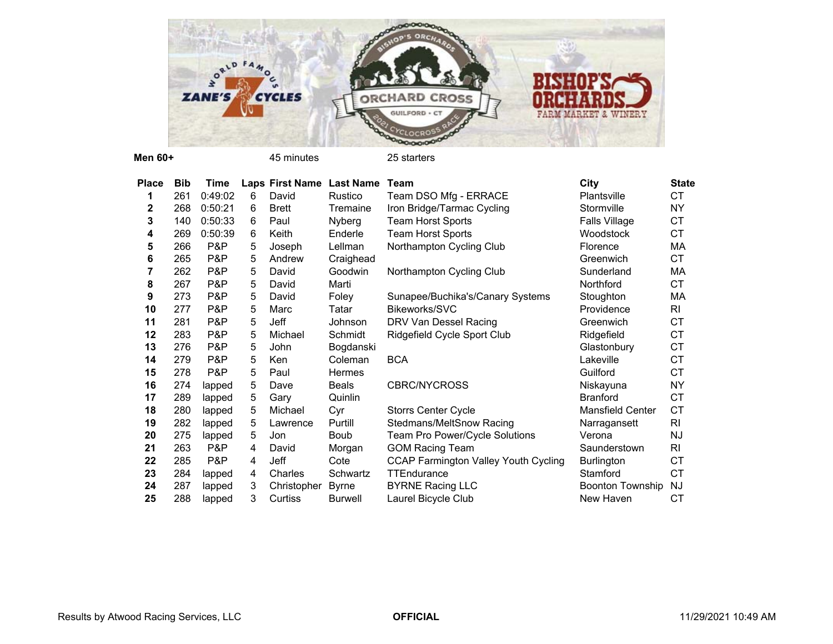

**Men 60+**

45 minutes 25 starters

| <b>Place</b> | <b>Bib</b> | Time    |   | Laps First Name | <b>Last Name</b> | Team                                        | City                    | <b>State</b> |
|--------------|------------|---------|---|-----------------|------------------|---------------------------------------------|-------------------------|--------------|
| 1            | 261        | 0:49:02 | 6 | David           | Rustico          | Team DSO Mfg - ERRACE                       | Plantsville             | СT           |
| 2            | 268        | 0:50:21 | 6 | <b>Brett</b>    | Tremaine         | Iron Bridge/Tarmac Cycling                  | Stormville              | <b>NY</b>    |
| 3            | 140        | 0:50:33 | 6 | Paul            | Nyberg           | <b>Team Horst Sports</b>                    | Falls Village           | CT           |
| 4            | 269        | 0:50:39 | 6 | Keith           | Enderle          | <b>Team Horst Sports</b>                    | Woodstock               | CT           |
| 5            | 266        | P&P     | 5 | Joseph          | Lellman          | Northampton Cycling Club                    | Florence                | МA           |
| 6            | 265        | P&P     | 5 | Andrew          | Craighead        |                                             | Greenwich               | CT           |
| 7            | 262        | P&P     | 5 | David           | Goodwin          | Northampton Cycling Club                    | Sunderland              | МA           |
| 8            | 267        | P&P     | 5 | David           | Marti            |                                             | Northford               | CT           |
| 9            | 273        | P&P     | 5 | David           | Foley            | Sunapee/Buchika's/Canary Systems            | Stoughton               | MA           |
| 10           | 277        | P&P     | 5 | Marc            | Tatar            | Bikeworks/SVC                               | Providence              | <b>RI</b>    |
| 11           | 281        | P&P     | 5 | Jeff            | Johnson          | DRV Van Dessel Racing                       | Greenwich               | CT           |
| 12           | 283        | P&P     | 5 | Michael         | Schmidt          | Ridgefield Cycle Sport Club                 | Ridgefield              | CT           |
| 13           | 276        | P&P     | 5 | John            | Bogdanski        |                                             | Glastonbury             | CT           |
| 14           | 279        | P&P     | 5 | Ken             | Coleman          | <b>BCA</b>                                  | Lakeville               | CT           |
| 15           | 278        | P&P     | 5 | Paul            | <b>Hermes</b>    |                                             | Guilford                | CT           |
| 16           | 274        | lapped  | 5 | Dave            | <b>Beals</b>     | <b>CBRC/NYCROSS</b>                         | Niskayuna               | <b>NY</b>    |
| 17           | 289        | lapped  | 5 | Gary            | Quinlin          |                                             | <b>Branford</b>         | <b>CT</b>    |
| 18           | 280        | lapped  | 5 | Michael         | Cyr              | <b>Storrs Center Cycle</b>                  | <b>Mansfield Center</b> | <b>CT</b>    |
| 19           | 282        | lapped  | 5 | Lawrence        | Purtill          | Stedmans/MeltSnow Racing                    | Narragansett            | <b>RI</b>    |
| 20           | 275        | lapped  | 5 | Jon             | <b>Boub</b>      | Team Pro Power/Cycle Solutions              | Verona                  | <b>NJ</b>    |
| 21           | 263        | P&P     | 4 | David           | Morgan           | <b>GOM Racing Team</b>                      | Saunderstown            | RI           |
| 22           | 285        | P&P     | 4 | Jeff            | Cote             | <b>CCAP Farmington Valley Youth Cycling</b> | Burlington              | <b>CT</b>    |
| 23           | 284        | lapped  | 4 | Charles         | Schwartz         | TTEndurance                                 | Stamford                | <b>CT</b>    |
| 24           | 287        | lapped  | 3 | Christopher     | <b>Byrne</b>     | <b>BYRNE Racing LLC</b>                     | <b>Boonton Township</b> | <b>NJ</b>    |
| 25           | 288        | lapped  | 3 | Curtiss         | <b>Burwell</b>   | Laurel Bicycle Club                         | New Haven               | СT           |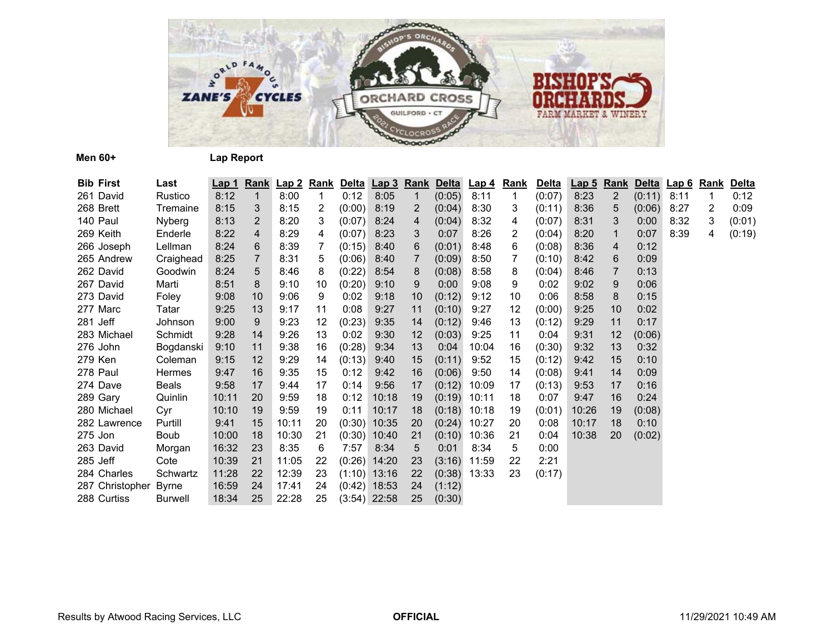

**Men 60+ Lap Report**

| <b>Bib First</b> | Last           | Lap 1 |                | Rank Lap 2 Rank Delta Lap 3 Rank Delta Lap 4 Rank |    |        |                |                 |        |       |                | <b>Delta</b> | Lap <sub>5</sub> | <b>Rank</b>    |        | Delta Lap 6 | <u>Rank</u>    | Delta  |
|------------------|----------------|-------|----------------|---------------------------------------------------|----|--------|----------------|-----------------|--------|-------|----------------|--------------|------------------|----------------|--------|-------------|----------------|--------|
| 261 David        | Rustico        | 8:12  | $\mathbf 1$    | 8:00                                              | 1  | 0:12   | 8:05           | 1               | (0:05) | 8:11  | $\mathbf{1}$   | (0:07)       | 8:23             | $\overline{2}$ | (0:11) | 8:11        | 1              | 0:12   |
| 268 Brett        | Tremaine       | 8:15  | 3              | 8:15                                              | 2  | (0:00) | 8:19           | 2               | (0:04) | 8:30  | 3              | (0:11)       | 8:36             | 5              | (0:06) | 8:27        | $\overline{2}$ | 0:09   |
| 140 Paul         | Nyberg         | 8:13  | $\overline{2}$ | 8:20                                              | 3  | (0:07) | 8:24           | 4               | (0:04) | 8:32  | 4              | (0:07)       | 8:31             | 3              | 0:00   | 8:32        | 3              | (0:01) |
| 269 Keith        | Enderle        | 8:22  | $\overline{4}$ | 8:29                                              | 4  | (0:07) | 8:23           | 3               | 0:07   | 8:26  | $\overline{2}$ | (0:04)       | 8:20             | $\mathbf 1$    | 0:07   | 8:39        | 4              | (0:19) |
| 266 Joseph       | Lellman        | 8:24  | 6              | 8:39                                              | 7  | (0:15) | 8:40           | 6               | (0:01) | 8:48  | 6              | (0:08)       | 8:36             | 4              | 0:12   |             |                |        |
| 265 Andrew       | Craighead      | 8:25  | $\overline{7}$ | 8:31                                              | 5  | (0:06) | 8:40           |                 | (0:09) | 8:50  | 7              | (0:10)       | 8:42             | 6              | 0:09   |             |                |        |
| 262 David        | Goodwin        | 8:24  | 5              | 8:46                                              | 8  | (0:22) | 8:54           | 8               | (0:08) | 8:58  | 8              | (0:04)       | 8:46             | 7              | 0:13   |             |                |        |
| 267 David        | Marti          | 8:51  | 8              | 9:10                                              | 10 | (0:20) | 9:10           | 9               | 0:00   | 9:08  | 9              | 0:02         | 9:02             | 9              | 0:06   |             |                |        |
| 273 David        | Foley          | 9:08  | 10             | 9:06                                              | 9  | 0:02   | 9:18           | 10 <sup>°</sup> | (0:12) | 9:12  | 10             | 0:06         | 8:58             | 8              | 0:15   |             |                |        |
| 277 Marc         | Tatar          | 9:25  | 13             | 9:17                                              | 11 | 0:08   | 9:27           | 11              | (0:10) | 9:27  | 12             | (0:00)       | 9:25             | 10             | 0:02   |             |                |        |
| 281 Jeff         | Johnson        | 9:00  | 9              | 9:23                                              | 12 | (0:23) | 9:35           | 14              | (0:12) | 9:46  | 13             | (0:12)       | 9:29             | 11             | 0:17   |             |                |        |
| 283 Michael      | Schmidt        | 9:28  | 14             | 9:26                                              | 13 | 0:02   | 9:30           | 12              | (0:03) | 9:25  | 11             | 0:04         | 9:31             | 12             | (0:06) |             |                |        |
| 276 John         | Bogdanski      | 9:10  | 11             | 9:38                                              | 16 | (0:28) | 9:34           | 13              | 0:04   | 10:04 | 16             | (0:30)       | 9:32             | 13             | 0:32   |             |                |        |
| 279 Ken          | Coleman        | 9:15  | 12             | 9:29                                              | 14 | (0:13) | 9:40           | 15              | (0:11) | 9:52  | 15             | (0:12)       | 9:42             | 15             | 0:10   |             |                |        |
| 278 Paul         | <b>Hermes</b>  | 9:47  | 16             | 9:35                                              | 15 | 0:12   | 9:42           | 16              | (0:06) | 9:50  | 14             | (0:08)       | 9:41             | 14             | 0:09   |             |                |        |
| 274 Dave         | Beals          | 9:58  | 17             | 9:44                                              | 17 | 0:14   | 9:56           | 17              | (0:12) | 10:09 | 17             | (0:13)       | 9:53             | 17             | 0:16   |             |                |        |
| 289 Gary         | Quinlin        | 10:11 | 20             | 9:59                                              | 18 | 0:12   | 10:18          | 19              | (0:19) | 10:11 | 18             | 0:07         | 9:47             | 16             | 0:24   |             |                |        |
| 280 Michael      | Cyr            | 10:10 | 19             | 9:59                                              | 19 | 0:11   | 10:17          | 18              | (0:18) | 10:18 | 19             | (0:01)       | 10:26            | 19             | (0:08) |             |                |        |
| 282 Lawrence     | Purtill        | 9:41  | 15             | 10:11                                             | 20 | (0:30) | 10:35          | 20              | (0:24) | 10:27 | 20             | 0:08         | 10:17            | 18             | 0:10   |             |                |        |
| 275 Jon          | Boub           | 10:00 | 18             | 10:30                                             | 21 | (0:30) | 10:40          | 21              | (0:10) | 10:36 | 21             | 0:04         | 10:38            | 20             | (0:02) |             |                |        |
| 263 David        | Morgan         | 16:32 | 23             | 8:35                                              | 6  | 7:57   | 8:34           | 5               | 0:01   | 8:34  | 5              | 0:00         |                  |                |        |             |                |        |
| 285 Jeff         | Cote           | 10:39 | 21             | 11:05                                             | 22 | (0:26) | 14:20          | 23              | (3:16) | 11:59 | 22             | 2:21         |                  |                |        |             |                |        |
| 284 Charles      | Schwartz       | 11:28 | 22             | 12:39                                             | 23 |        | $(1:10)$ 13:16 | 22              | (0:38) | 13:33 | 23             | (0:17)       |                  |                |        |             |                |        |
| 287 Christopher  | <b>Byrne</b>   | 16:59 | 24             | 17:41                                             | 24 |        | $(0.42)$ 18:53 | 24              | (1:12) |       |                |              |                  |                |        |             |                |        |
| 288 Curtiss      | <b>Burwell</b> | 18:34 | 25             | 22:28                                             | 25 |        | $(3:54)$ 22:58 | 25              | (0:30) |       |                |              |                  |                |        |             |                |        |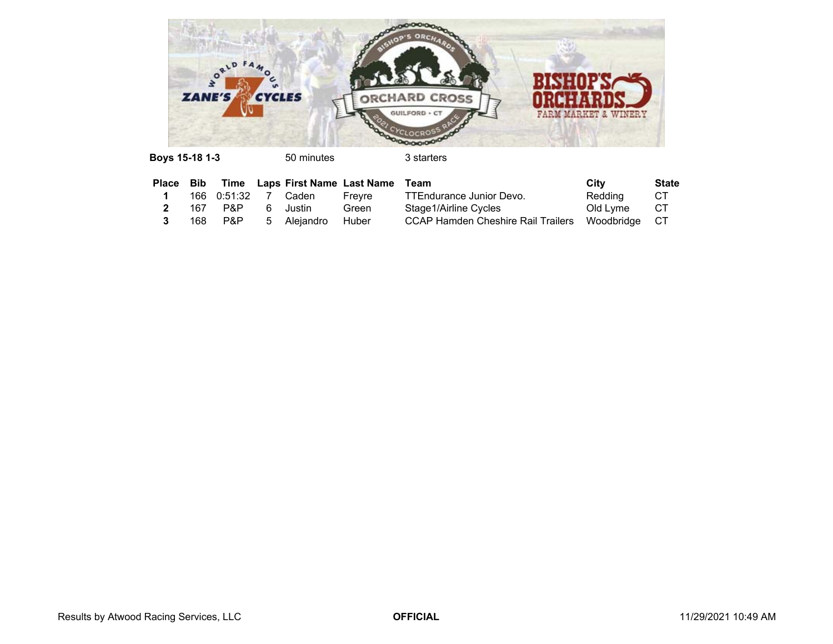

**Boys 15-18 1-3** 50 minutes 3 starters

|  |                        |             | Place Bib Time Laps First Name Last Name Team |                                                  | City     | <b>State</b> |
|--|------------------------|-------------|-----------------------------------------------|--------------------------------------------------|----------|--------------|
|  | 166  0:51:32  7  Caden |             | Frevre                                        | TTEndurance Junior Devo.                         | Redding  | CT           |
|  | 167 P&P                | 6 Justin    | Green                                         | Stage1/Airline Cycles                            | Old Lvme | CT C         |
|  | 168 P&P                | 5 Aleiandro | Huber                                         | CCAP Hamden Cheshire Rail Trailers Woodbridge CT |          |              |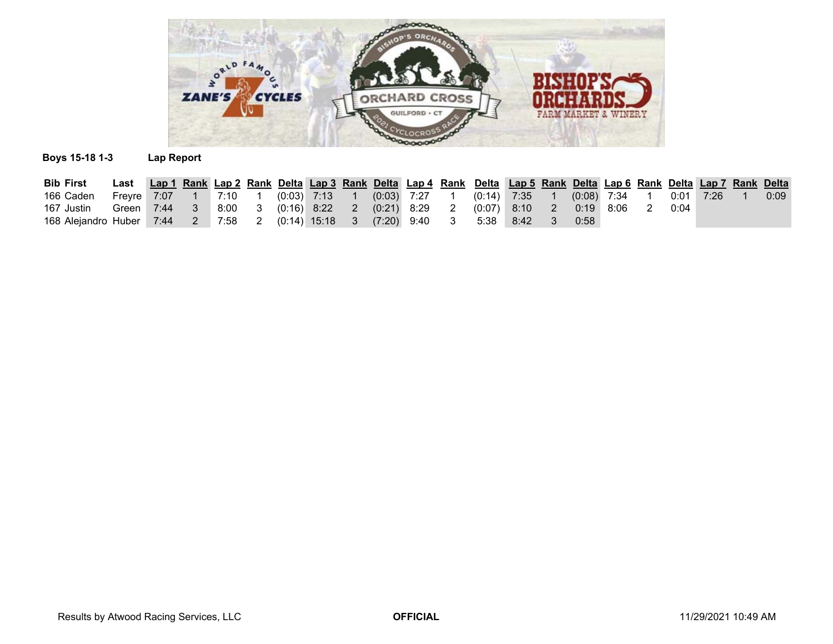

## **Boys 15-18 1-3 Lap Report**

| <b>Bib First</b>                                             | Last Lap 1 Rank Lap 2 Rank Delta Lap 3 Rank Delta Lap 4 Rank Delta Lap 5 Rank Delta Lap 6 Rank Delta Lap 7 Rank Delta |  |  |  |  |                 |                 |      |               |               |             |  |      |
|--------------------------------------------------------------|-----------------------------------------------------------------------------------------------------------------------|--|--|--|--|-----------------|-----------------|------|---------------|---------------|-------------|--|------|
| 166 Caden                                                    | Freyre 7:07  1  7:10  1  (0:03)  7:13  1                                                                              |  |  |  |  | $(0:03)$ 7:27 1 | $(0:14)$ 7:35 1 |      |               | $(0.08)$ 7:34 | $0:01$ 7:26 |  | 0:09 |
| 167 Justin                                                   | Green 7:44    3    8:00    3    (0:16)    8:22    2    (0:21)    8:29    2    (0:07)    8:10    2                     |  |  |  |  |                 |                 |      | $0:19$ $8:06$ |               | 0:04        |  |      |
| 168 Alejandro Huber 7:44 2 7:58 2 (0:14) 15:18 3 (7:20) 9:40 |                                                                                                                       |  |  |  |  |                 | 5:38            | 8:42 | 0:58          |               |             |  |      |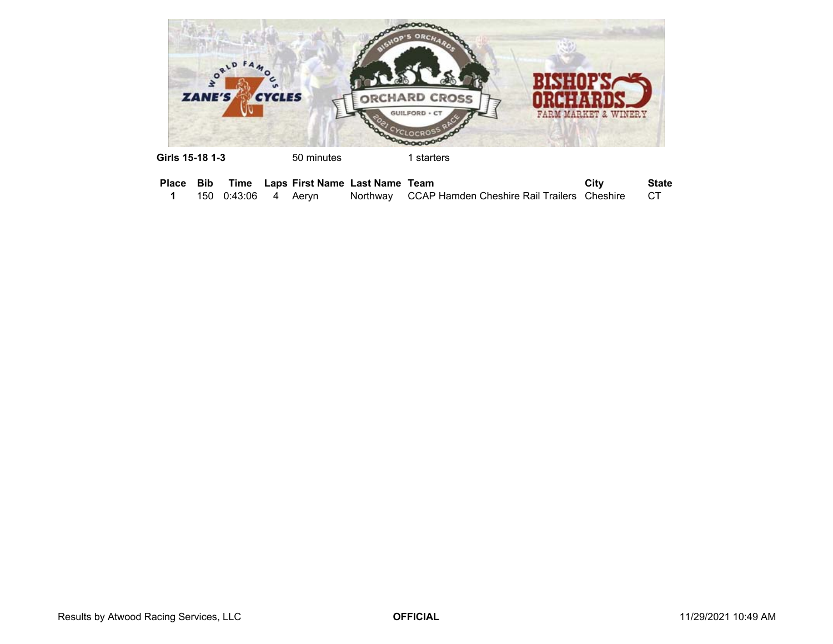

| Girls 15-18 1-3 | 50 minutes | 1 starters |
|-----------------|------------|------------|
|                 |            |            |

|  |                        |  | Place Bib Time Laps First Name Last Name Team |                                                         | City | <b>State</b> |
|--|------------------------|--|-----------------------------------------------|---------------------------------------------------------|------|--------------|
|  | 150  0:43:06  4  Aervn |  |                                               | Northway CCAP Hamden Cheshire Rail Trailers Cheshire CT |      |              |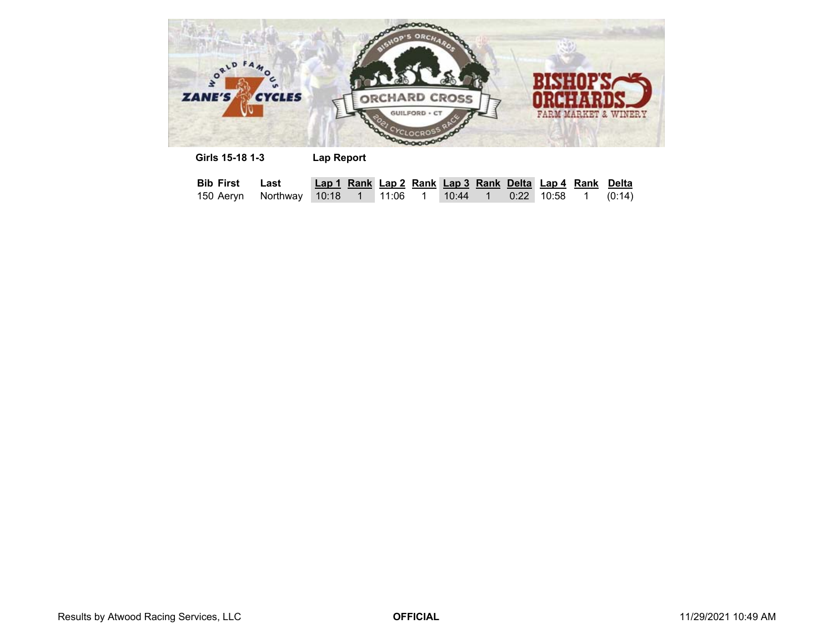

| Girls 15-18 1-3    |      | Lap Report |  |         |  |                                                         |        |
|--------------------|------|------------|--|---------|--|---------------------------------------------------------|--------|
| <b>Bib First</b>   | Last |            |  |         |  | Lap 1 Rank Lap 2 Rank Lap 3 Rank Delta Lap 4 Rank Delta |        |
| 150 Aeryn Northway |      |            |  | 10:44 1 |  | 0:22 10:58 1                                            | (0:14) |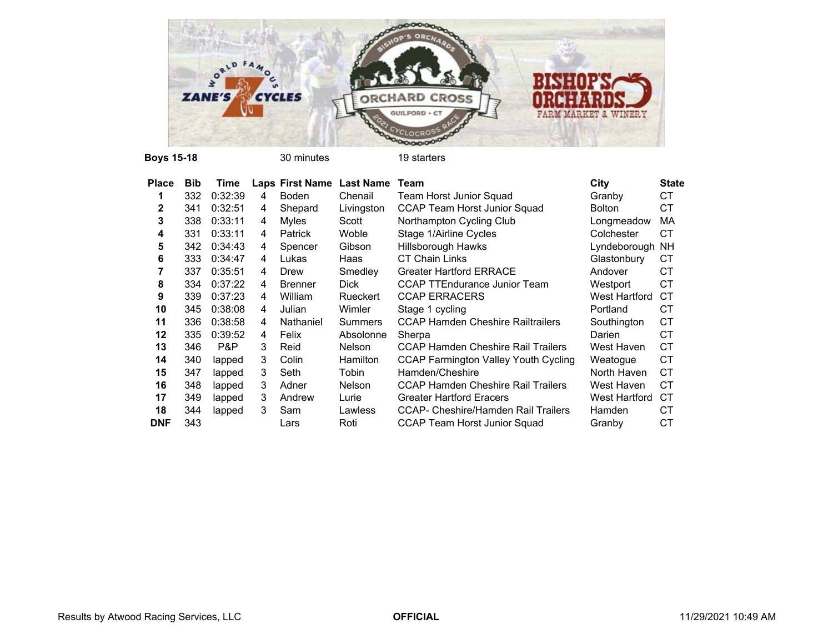

| <b>Place</b> | <b>Bib</b> | Time    |   | Laps First Name Last Name |                 | Team                                       | City          | <b>State</b> |
|--------------|------------|---------|---|---------------------------|-----------------|--------------------------------------------|---------------|--------------|
|              | 332        | 0:32:39 | 4 | Boden                     | Chenail         | Team Horst Junior Squad                    | Granby        | СT           |
| 2            | 341        | 0:32:51 | 4 | Shepard                   | Livingston      | CCAP Team Horst Junior Squad               | <b>Bolton</b> | СT           |
| 3            | 338        | 0:33:11 | 4 | Myles                     | Scott           | Northampton Cycling Club                   | Longmeadow    | MA           |
| 4            | 331        | 0:33:11 | 4 | <b>Patrick</b>            | Woble           | Stage 1/Airline Cycles                     | Colchester    | <b>CT</b>    |
| 5            | 342        | 0:34:43 | 4 | Spencer                   | Gibson          | Hillsborough Hawks                         | Lyndeborough  | <b>NH</b>    |
| 6            | 333        | 0:34:47 | 4 | Lukas                     | Haas            | <b>CT Chain Links</b>                      | Glastonbury   | СT           |
|              | 337        | 0:35:51 | 4 | Drew                      | Smedley         | <b>Greater Hartford ERRACE</b>             | Andover       | <b>CT</b>    |
| 8            | 334        | 0:37:22 | 4 | <b>Brenner</b>            | <b>Dick</b>     | <b>CCAP TTEndurance Junior Team</b>        | Westport      | <b>CT</b>    |
| 9            | 339        | 0:37:23 | 4 | William                   | Rueckert        | <b>CCAP ERRACERS</b>                       | West Hartford | СT           |
| 10           | 345        | 0:38:08 | 4 | Julian                    | Wimler          | Stage 1 cycling                            | Portland      | СT           |
| 11           | 336        | 0:38:58 | 4 | Nathaniel                 | <b>Summers</b>  | <b>CCAP Hamden Cheshire Railtrailers</b>   | Southington   | <b>CT</b>    |
| $12 \,$      | 335        | 0:39:52 | 4 | Felix                     | Absolonne       | Sherpa                                     | Darien        | <b>CT</b>    |
| 13           | 346        | P&P     | 3 | Reid                      | <b>Nelson</b>   | <b>CCAP Hamden Cheshire Rail Trailers</b>  | West Haven    | СT           |
| 14           | 340        | lapped  | 3 | Colin                     | <b>Hamilton</b> | CCAP Farmington Valley Youth Cycling       | Weatogue      | <b>CT</b>    |
| 15           | 347        | lapped  | 3 | Seth                      | Tobin           | Hamden/Cheshire                            | North Haven   | <b>CT</b>    |
| 16           | 348        | lapped  | 3 | Adner                     | <b>Nelson</b>   | <b>CCAP Hamden Cheshire Rail Trailers</b>  | West Haven    | <b>CT</b>    |
| 17           | 349        | lapped  | 3 | Andrew                    | Lurie           | <b>Greater Hartford Eracers</b>            | West Hartford | СT           |
| 18           | 344        | lapped  | 3 | Sam                       | Lawless         | <b>CCAP- Cheshire/Hamden Rail Trailers</b> | Hamden        | СT           |
| <b>DNF</b>   | 343        |         |   | Lars                      | Roti            | CCAP Team Horst Junior Squad               | Granby        | СT           |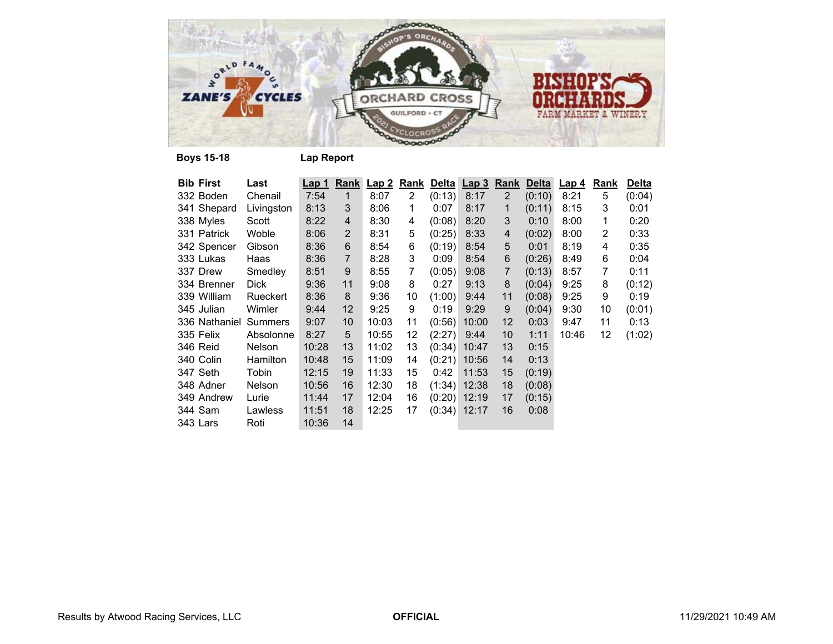

| <b>Bib First</b> | Last            | Lap 1 | Rank           | Lap2  | <u>Rank</u>    |        | Delta Lap 3    | <b>Rank</b>       | <b>Delta</b> | <u>Lap 4</u> | <u>Rank</u> | <b>Delta</b> |
|------------------|-----------------|-------|----------------|-------|----------------|--------|----------------|-------------------|--------------|--------------|-------------|--------------|
| 332 Boden        | Chenail         | 7:54  | 1              | 8:07  | $\overline{2}$ | (0:13) | 8:17           | $\overline{2}$    | (0:10)       | 8:21         | 5           | (0:04)       |
| 341 Shepard      | Livingston      | 8:13  | 3              | 8:06  | 1              | 0:07   | 8:17           | 1                 | (0:11)       | 8:15         | 3           | 0:01         |
| 338 Myles        | Scott           | 8:22  | 4              | 8:30  | 4              | (0:08) | 8:20           | 3                 | 0:10         | 8:00         | 1           | 0:20         |
| 331 Patrick      | Woble           | 8:06  | 2              | 8:31  | 5              | (0:25) | 8:33           | 4                 | (0:02)       | 8:00         | 2           | 0:33         |
| 342 Spencer      | Gibson          | 8:36  | 6              | 8:54  | 6              | (0:19) | 8:54           | 5                 | 0:01         | 8:19         | 4           | 0:35         |
| 333 Lukas        | Haas            | 8:36  | $\overline{7}$ | 8:28  | 3              | 0:09   | 8:54           | 6                 | (0:26)       | 8:49         | 6           | 0:04         |
| 337 Drew         | Smedley         | 8:51  | 9              | 8:55  | 7              | (0:05) | 9:08           | 7                 | (0:13)       | 8:57         | 7           | 0:11         |
| 334 Brenner      | Dick            | 9:36  | 11             | 9:08  | 8              | 0:27   | 9:13           | 8                 | (0:04)       | 9:25         | 8           | (0:12)       |
| 339 William      | Rueckert        | 8:36  | 8              | 9:36  | 10             | (1:00) | 9:44           | 11                | (0:08)       | 9:25         | 9           | 0:19         |
| 345 Julian       | Wimler          | 9:44  | 12             | 9:25  | 9              | 0:19   | 9:29           | 9                 | (0:04)       | 9:30         | 10          | (0:01)       |
| 336 Nathaniel    | <b>Summers</b>  | 9:07  | 10             | 10:03 | 11             | (0:56) | 10:00          | $12 \overline{ }$ | 0:03         | 9:47         | 11          | 0:13         |
| 335 Felix        | Absolonne       | 8:27  | 5              | 10:55 | 12             | (2:27) | 9:44           | 10                | 1:11         | 10:46        | 12          | (1:02)       |
| 346 Reid         | <b>Nelson</b>   | 10:28 | 13             | 11:02 | 13             |        | $(0:34)$ 10:47 | 13                | 0:15         |              |             |              |
| 340 Colin        | <b>Hamilton</b> | 10:48 | 15             | 11:09 | 14             | (0:21) | 10:56          | 14                | 0:13         |              |             |              |
| 347 Seth         | Tobin           | 12:15 | 19             | 11:33 | 15             | 0:42   | 11:53          | 15                | (0:19)       |              |             |              |
| 348 Adner        | <b>Nelson</b>   | 10:56 | 16             | 12:30 | 18             |        | $(1:34)$ 12:38 | 18                | (0:08)       |              |             |              |
| 349 Andrew       | Lurie           | 11:44 | 17             | 12:04 | 16             |        | $(0:20)$ 12:19 | 17                | (0:15)       |              |             |              |
| 344 Sam          | Lawless         | 11:51 | 18             | 12:25 | 17             |        | $(0:34)$ 12:17 | 16                | 0:08         |              |             |              |
| 343 Lars         | Roti            | 10:36 | 14             |       |                |        |                |                   |              |              |             |              |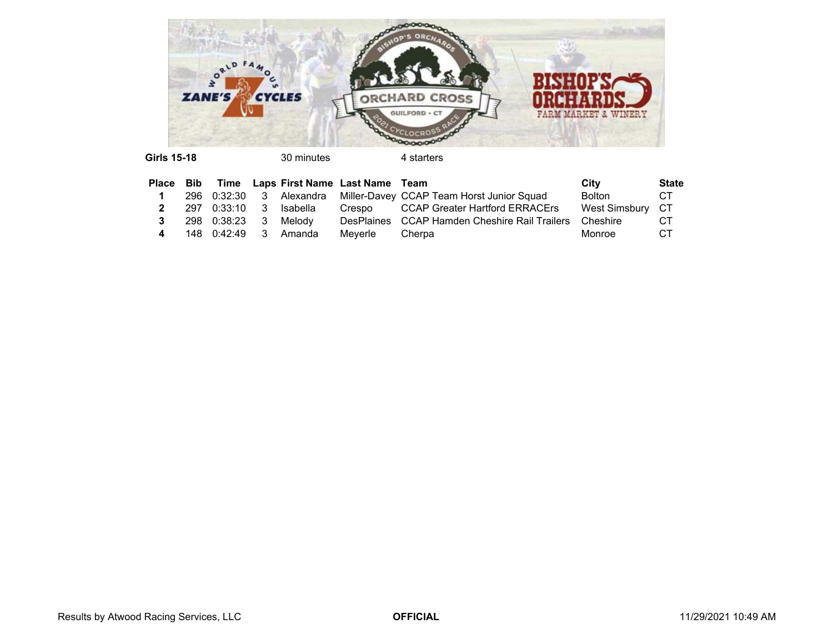

| 30 minutes |  |
|------------|--|
|------------|--|

|                |                        |                                 | Place Bib Time Laps First Name Last Name Team |                                                                   | City             | <b>State</b> |
|----------------|------------------------|---------------------------------|-----------------------------------------------|-------------------------------------------------------------------|------------------|--------------|
| $\blacksquare$ |                        |                                 |                                               | 296 0:32:30 3 Alexandra Miller-Davey CCAP Team Horst Junior Squad | <b>Bolton</b>    | CT.          |
|                |                        | <b>2</b> 297 0:33:10 3 Isabella |                                               | Crespo CCAP Greater Hartford ERRACErs                             | West Simsburv CT |              |
|                | 3 298 0:38:23 3 Melody |                                 |                                               | DesPlaines CCAP Hamden Cheshire Rail Trailers Cheshire            |                  | CT.          |
| 4              |                        | 148  0:42:49  3  Amanda         | Meverle                                       | Cherpa                                                            | Monroe           | CT.          |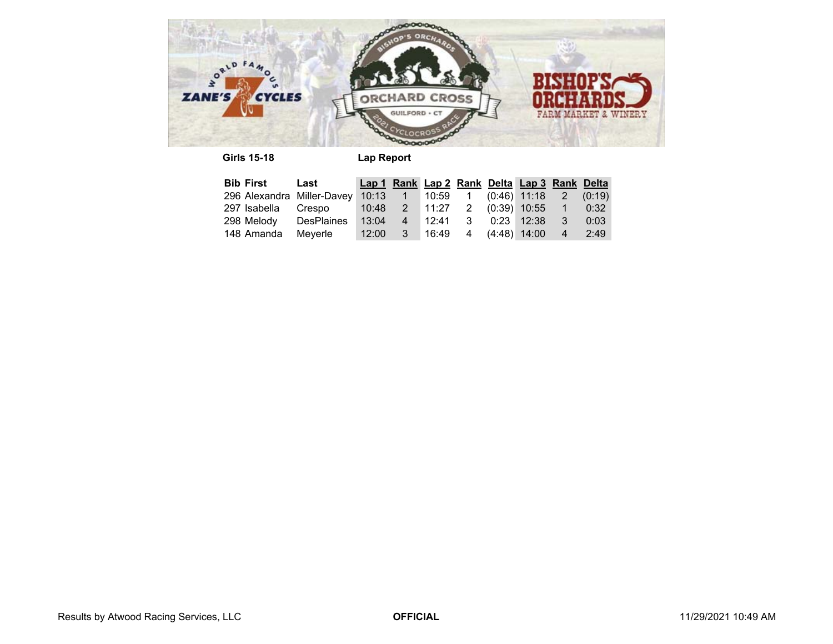

**Girls 15-18 Lap Report**

| <b>Bib First</b> Last                                                   |  |  |  | Lap 1 Rank Lap 2 Rank Delta Lap 3 Rank Delta |            |             |
|-------------------------------------------------------------------------|--|--|--|----------------------------------------------|------------|-------------|
| 296 Alexandra Miller-Davey 10:13  1  10:59  1  (0:46)  11:18  2  (0:19) |  |  |  |                                              |            |             |
| 297 Isabella Crespo                                                     |  |  |  | 10:48  2  11:27  2  (0:39)  10:55  1         |            | $\sim$ 0:32 |
| 298 Melody DesPlaines                                                   |  |  |  | 13:04  4  12:41  3  0:23  12:38              | $\sqrt{3}$ | 0:03        |
| 148 Amanda Meyerle                                                      |  |  |  | $12:00$ 3 $16:49$ 4 $(4:48)$ 14:00 4         |            | 2:49        |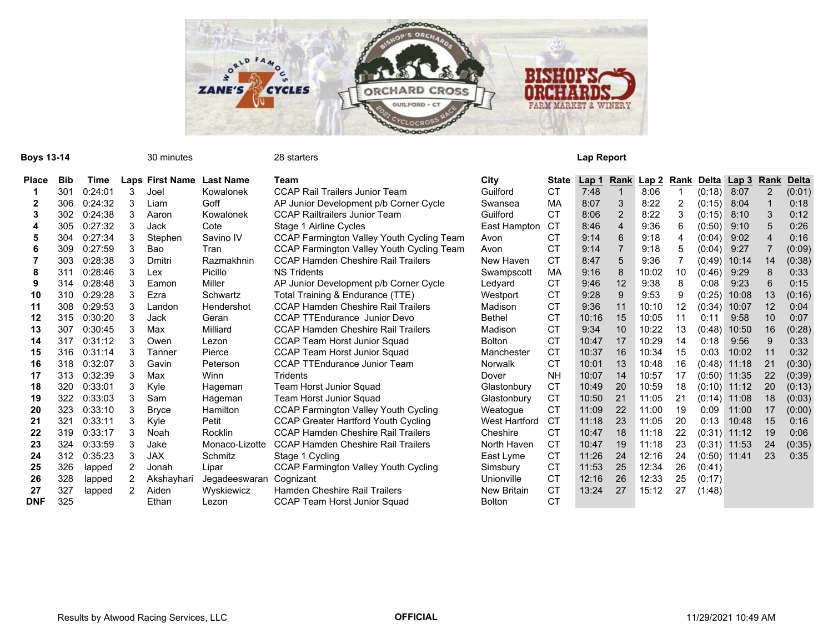

| Boys 13-14   |            |         |                | 30 minutes             |                  | 28 starters                                      |                    |              | Lap Report       |                |              |      |                |                |              |              |
|--------------|------------|---------|----------------|------------------------|------------------|--------------------------------------------------|--------------------|--------------|------------------|----------------|--------------|------|----------------|----------------|--------------|--------------|
| <b>Place</b> | <b>Bib</b> | Time    |                | <b>Laps First Name</b> | <b>Last Name</b> | Team                                             | City               | <b>State</b> | Lap <sub>1</sub> | Rank           | <u>Lap 2</u> | Rank | Delta          | <u>Lap 3</u>   | Rank         | <b>Delta</b> |
|              | 301        | 0:24:01 | 3              | Joel                   | Kowalonek        | <b>CCAP Rail Trailers Junior Team</b>            | Guilford           | <b>CT</b>    | 7:48             |                | 8:06         |      | (0:18)         | 8:07           | 2            | (0:01)       |
|              | 306        | 0:24:32 |                | Liam                   | Goff             | AP Junior Development p/b Corner Cycle           | Swansea            | MA           | 8:07             |                | 8:22         | 2    | (0:15)         | 8:04           |              | 0:18         |
| 3            | 302        | 0:24:38 | 3              | Aaron                  | Kowalonek        | <b>CCAP Railtrailers Junior Team</b>             | Guilford           | <b>CT</b>    | 8:06             | 2              | 8:22         | 3    | (0:15)         | 8:10           |              | 0:12         |
| 4            | 305        | 0:27:32 | 3              | Jack                   | Cote             | Stage 1 Airline Cycles                           | East Hampton       | <b>CT</b>    | 8:46             | $\overline{4}$ | 9:36         | 6    | (0:50)         | 9:10           |              | 0:26         |
| 5            | 304        | 0:27:34 | 3              | Stephen                | Savino IV        | <b>CCAP Farmington Valley Youth Cycling Team</b> | Avon               | СT           | 9:14             | 6              | 9:18         | 4    | (0:04)         | 9:02           |              | 0:16         |
| 6            | 309        | 0:27:59 | 3              | Bao                    | Tran             | CCAP Farmington Valley Youth Cycling Team        | Avon               | <b>CT</b>    | 9:14             |                | 9:18         | 5    | (0:04)         | 9:27           |              | (0:09)       |
|              | 303        | 0:28:38 |                | Dmitri                 | Razmakhnin       | <b>CCAP Hamden Cheshire Rail Trailers</b>        | New Haven          | <b>CT</b>    | 8:47             | 5              | 9:36         |      | (0:49)         | 10:14          | 14           | (0:38)       |
| 8            | 311        | 0:28:46 | 3              | Lex                    | Picillo          | <b>NS Tridents</b>                               | Swampscott         | MA           | 9:16             | 8              | 10:02        | 10   | (0:46)         | 9:29           |              | 0:33         |
| 9            | 314        | 0:28:48 |                | Eamon                  | Miller           | AP Junior Development p/b Corner Cycle           | Ledyard            | <b>CT</b>    | 9:46             | 12             | 9:38         | 8    | 0:08           | 9:23           |              | 0:15         |
| 10           | 310        | 0:29:28 |                | Ezra                   | Schwartz         | Total Training & Endurance (TTE)                 | Westport           | <b>CT</b>    | 9:28             | 9              | 9:53         | 9    | (0:25)         | 10:08          | 13           | (0:16)       |
| 11           | 308        | 0:29:53 | 3              | Landon                 | Hendershot       | <b>CCAP Hamden Cheshire Rail Trailers</b>        | Madison            | <b>CT</b>    | 9:36             | 11             | 10:10        | 12   | (0:34)         | 10:07          | 12           | 0:04         |
| 12           | 315        | 0:30:20 |                | Jack                   | Geran            | <b>CCAP TTEndurance Junior Devo</b>              | <b>Bethel</b>      | <b>CT</b>    | 10:16            | 15             | 10:05        | 11   | 0:11           | 9:58           | 10           | 0:07         |
| 13           | 307        | 0:30:45 | 3              | Max                    | Milliard         | <b>CCAP Hamden Cheshire Rail Trailers</b>        | Madison            | СT           | 9:34             | 10             | 10:22        | 13   | (0:48)         | 10:50          | 16           | (0:28)       |
| 14           | 317        | 0:31:12 | 3              | Owen                   | Lezon            | CCAP Team Horst Junior Squad                     | <b>Bolton</b>      | СT           | 10:47            | 17             | 10:29        | 14   | 0:18           | 9:56           | $\mathbf{Q}$ | 0:33         |
| 15           | 316        | 0:31:14 | 3              | Tanner                 | Pierce           | <b>CCAP Team Horst Junior Squad</b>              | Manchester         | <b>CT</b>    | 10:37            | 16             | 10:34        | 15   | 0:03           | 10:02          | 11           | 0:32         |
| 16           | 318        | 0:32:07 | 3              | Gavin                  | Peterson         | <b>CCAP TTEndurance Junior Team</b>              | <b>Norwalk</b>     | СT           | 10:01            | 13             | 10:48        | 16   | (0:48)         | 11:18          | 21           | (0:30)       |
| 17           | 313        | 0:32:39 | 3              | Max                    | Winn             | Tridents                                         | Dover              | <b>NH</b>    | 10:07            | 14             | 10:57        | 17   | (0:50)         | 11:35          | 22           | (0:39)       |
| 18           | 320        | 0:33:01 |                | Kyle                   | Hageman          | <b>Team Horst Junior Squad</b>                   | Glastonbury        | <b>CT</b>    | 10:49            | 20             | 10:59        | 18   | (0:10)         | 11:12          | 20           | (0:13)       |
| 19           | 322        | 0:33:03 |                | Sam                    | Hageman          | Team Horst Junior Squad                          | Glastonbury        | <b>CT</b>    | 10:50            | 21             | 11:05        | 21   | (0:14)         | 11:08          | 18           | (0:03)       |
| 20           | 323        | 0:33:10 | 3              | <b>Bryce</b>           | Hamilton         | <b>CCAP Farmington Valley Youth Cycling</b>      | Weatogue           | <b>CT</b>    | 11:09            | 22             | 11:00        | 19   | 0:09           | 11:00          | 17           | (0:00)       |
| 21           | 321        | 0:33:11 | 3              | Kyle                   | Petit            | <b>CCAP Greater Hartford Youth Cycling</b>       | West Hartford      | CT           | 11:18            | 23             | 11:05        | 20   | 0:13           | 10:48          | 15           | 0:16         |
| 22           | 319        | 0:33:17 | 3              | Noah                   | Rocklin          | <b>CCAP Hamden Cheshire Rail Trailers</b>        | Cheshire           | CT           | 10:47            | 18             | 11:18        | 22   |                | $(0:31)$ 11:12 | 19           | 0:06         |
| 23           | 324        | 0:33:59 | 3              | Jake                   | Monaco-Lizotte   | <b>CCAP Hamden Cheshire Rail Trailers</b>        | North Haven        | <b>CT</b>    | 10:47            | 19             | 11:18        | 23   |                | $(0:31)$ 11:53 | 24           | (0:35)       |
| 24           | 312        | 0:35:23 | 3              | <b>JAX</b>             | Schmitz          | Stage 1 Cycling                                  | East Lyme          | <b>CT</b>    | 11:26            | 24             | 12:16        | 24   | $(0:50)$ 11:41 |                | 23           | 0:35         |
| 25           | 326        | lapped  | 2              | Jonah                  | Lipar            | <b>CCAP Farmington Valley Youth Cycling</b>      | Simsbury           | <b>CT</b>    | 11:53            | 25             | 12:34        | 26   | (0:41)         |                |              |              |
| 26           | 328        | lapped  | 2              | Akshayhari             | Jegadeeswaran    | Cognizant                                        | Unionville         | <b>CT</b>    | 12:16            | 26             | 12:33        | 25   | (0:17)         |                |              |              |
| 27           | 327        | lapped  | $\overline{2}$ | Aiden                  | Wyskiewicz       | Hamden Cheshire Rail Trailers                    | <b>New Britain</b> | <b>CT</b>    | 13:24            | 27             | 15:12        | 27   | (1:48)         |                |              |              |
| <b>DNF</b>   | 325        |         |                | Ethan                  | Lezon            | <b>CCAP Team Horst Junior Squad</b>              | <b>Bolton</b>      | CT           |                  |                |              |      |                |                |              |              |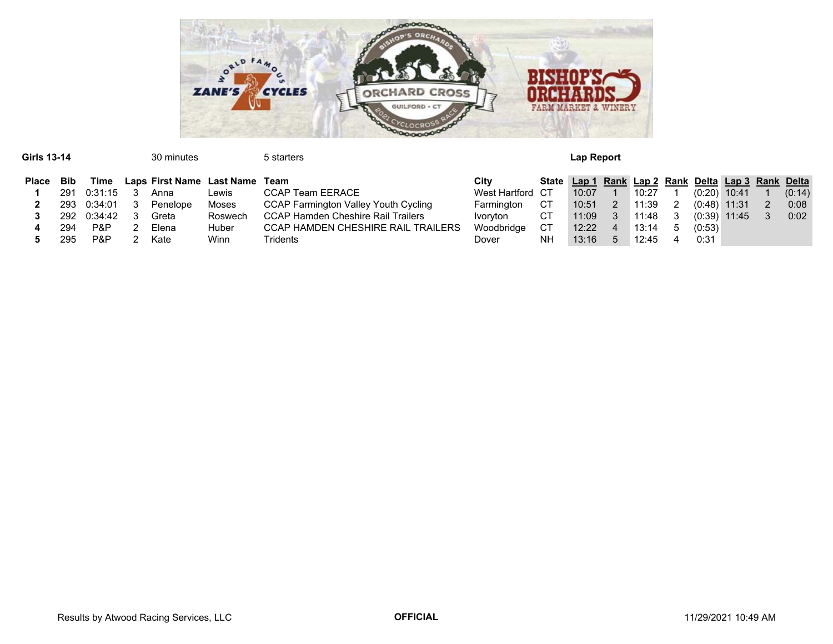

| Girls 13-14<br>30 minutes |     |                                   |                   |       |                         | 5 starters                                                      | Lap Report |       |       |       |       |        |                                                    |       |        |      |  |  |
|---------------------------|-----|-----------------------------------|-------------------|-------|-------------------------|-----------------------------------------------------------------|------------|-------|-------|-------|-------|--------|----------------------------------------------------|-------|--------|------|--|--|
| <b>Place</b>              | Bib | Laps First Name Last Name<br>Time |                   |       | Team                    | Citv                                                            |            |       |       |       |       |        | State Lap 1 Rank Lap 2 Rank Delta Lap 3 Rank Delta |       |        |      |  |  |
|                           | 291 | 0:31:15<br>Lewis<br>Anna          |                   |       | <b>CCAP Team EERACE</b> | West Hartford CT                                                |            | 10:07 |       | 10:27 |       | (0:20) | 10:41                                              |       | (0:14) |      |  |  |
|                           | 293 | 0:34:01                           | Moses<br>Penelope |       |                         | <b>CCAP Farmington Valley Youth Cycling</b><br>Farmington<br>CТ |            |       |       | 2     | 11:39 |        | (0:48)                                             | 11:31 |        | 0:08 |  |  |
|                           | 292 | 0:34:42                           |                   | Greta | Roswech                 | <b>CCAP Hamden Cheshire Rail Trailers</b>                       | Ivoryton   | CТ    | 11:09 |       | 11:48 |        | (0:39)                                             | 11:45 |        | 0:02 |  |  |
|                           | 294 | P&P                               |                   | Elena | Huber                   | <b>CCAP HAMDEN CHESHIRE RAIL TRAILERS</b>                       | Woodbridge | CТ    | 12:22 |       | 13:14 |        | (0:53)                                             |       |        |      |  |  |
|                           | 295 | P&P                               |                   | Kate  | Winn                    | Tridents                                                        | Dover      | NΗ    | 13:16 |       | 12:45 |        | 0:31                                               |       |        |      |  |  |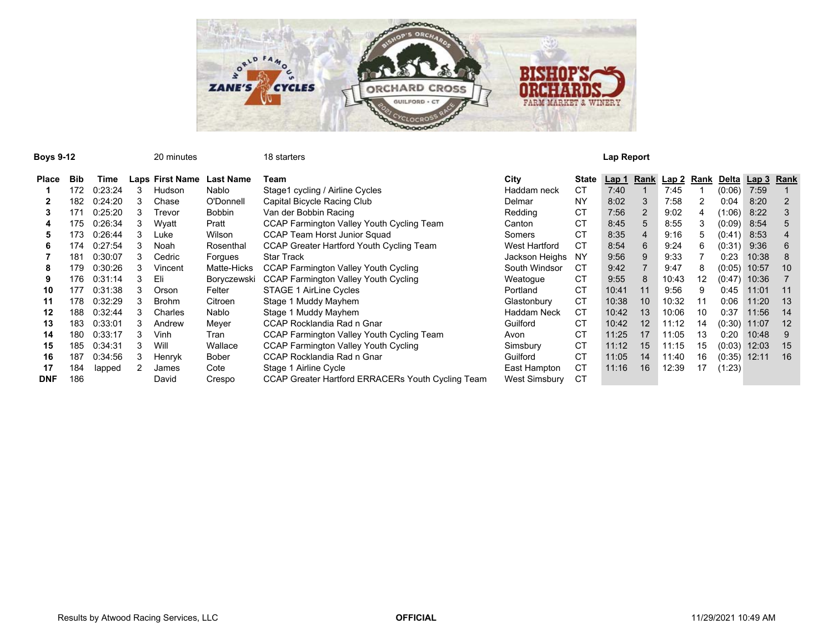

| <b>Boys 9-12</b> |            |         |   | 20 minutes             |                  | 18 starters                                       |                    |              | Lap Report |    |            |    |        |                  |      |
|------------------|------------|---------|---|------------------------|------------------|---------------------------------------------------|--------------------|--------------|------------|----|------------|----|--------|------------------|------|
| <b>Place</b>     | <b>Bib</b> | Time    |   | <b>Laps First Name</b> | <b>Last Name</b> | Team                                              | City               | <b>State</b> | Lap 1      |    | Rank Lap 2 |    |        | Rank Delta Lap 3 | Rank |
|                  | 172        | 0:23:24 | 3 | Hudson                 | Nablo            | Stage1 cycling / Airline Cycles                   | Haddam neck        | <b>CT</b>    | 7:40       |    | 7:45       |    | (0:06) | 7:59             |      |
|                  | 182        | 0:24:20 | 3 | Chase                  | O'Donnell        | Capital Bicycle Racing Club                       | Delmar             | <b>NY</b>    | 8:02       |    | 7:58       |    | 0:04   | 8:20             |      |
| 3                | 171        | 0:25:20 | 3 | Trevor                 | <b>Bobbin</b>    | Van der Bobbin Racing                             | Redding            | СT           | 7:56       |    | 9:02       | 4  | (1:06) | 8:22             |      |
| 4                | 175        | 0:26:34 |   | Wyatt                  | Pratt            | CCAP Farmington Valley Youth Cycling Team         | Canton             | CT           | 8:45       |    | 8:55       | 3  | (0:09) | 8:54             |      |
| 5                | 173        | 0:26:44 | 3 | Luke                   | Wilson           | <b>CCAP Team Horst Junior Squad</b>               | Somers             | СT           | 8:35       |    | 9:16       | 5  | (0:41) | 8:53             |      |
| 6                | 174        | 0:27:54 | 3 | Noah                   | Rosenthal        | CCAP Greater Hartford Youth Cycling Team          | West Hartford      | CT           | 8:54       | 6  | 9:24       | 6  | (0:31) | 9:36             | 6    |
|                  | 181        | 0:30:07 | 3 | Cedric                 | Forgues          | <b>Star Track</b>                                 | Jackson Heighs     | NY.          | 9:56       |    | 9:33       |    | 0:23   | 10:38            |      |
| 8                | 179        | 0:30:26 |   | Vincent                | Matte-Hicks      | <b>CCAP Farmington Valley Youth Cycling</b>       | South Windsor      | CT.          | 9:42       |    | 9:47       | 8  | (0:05) | 10:57            | 10   |
| 9                | 176        | 0:31:14 |   | Eli                    | Boryczewski      | <b>CCAP Farmington Valley Youth Cycling</b>       | Weatogue           | СT           | 9:55       |    | 10:43      | 12 | (0:47) | 10:36            |      |
| 10               | 177        | 0:31:38 | 3 | Orson                  | Felter           | <b>STAGE 1 AirLine Cycles</b>                     | Portland           | СT           | 10:41      | 11 | 9:56       | я  | 0:45   | 11:01            | 11   |
| 11               | 178        | 0:32:29 | 3 | <b>Brohm</b>           | Citroen          | Stage 1 Muddy Mayhem                              | Glastonbury        | СT           | 10:38      | 10 | 10:32      | 11 | 0:06   | 11:20            | 13   |
| 12               | 188        | 0:32:44 | 3 | Charles                | Nablo            | Stage 1 Muddy Mayhem                              | <b>Haddam Neck</b> | <b>CT</b>    | 10:42      | 13 | 10:06      | 10 | 0:37   | 11:56            | 14   |
| 13               | 183        | 0:33:01 |   | Andrew                 | Meyer            | CCAP Rocklandia Rad n Gnar                        | Guilford           | <b>CT</b>    | 10:42      | 12 | 11:12      | 14 | (0:30) | 11:07            | 12   |
| 14               | 180        | 0:33:17 |   | Vinh                   | Tran             | CCAP Farmington Valley Youth Cycling Team         | Avon               | <b>CT</b>    | 11:25      | 17 | 11:05      | 13 | 0:20   | 10:48            | 9    |
| 15               | 185        | 0:34:31 |   | Wil                    | Wallace          | <b>CCAP Farmington Valley Youth Cycling</b>       | Simsbury           | СT           | 11:12      | 15 | 11:15      | 15 | (0:03) | 12:03            | 15   |
| 16               | 187        | 0:34:56 | 3 | Henryk                 | Bober            | CCAP Rocklandia Rad n Gnar                        | Guilford           | СT           | 11:05      | 14 | 11:40      | 16 | (0:35) | 12:11            | 16   |
| 17               | 184        | lapped  |   | James                  | Cote             | Stage 1 Airline Cycle                             | East Hampton       | <b>CT</b>    | 11:16      | 16 | 12:39      | 17 | (1:23) |                  |      |
| <b>DNF</b>       | 186        |         |   | David                  | Crespo           | CCAP Greater Hartford ERRACERs Youth Cycling Team | West Simsbury      | <b>CT</b>    |            |    |            |    |        |                  |      |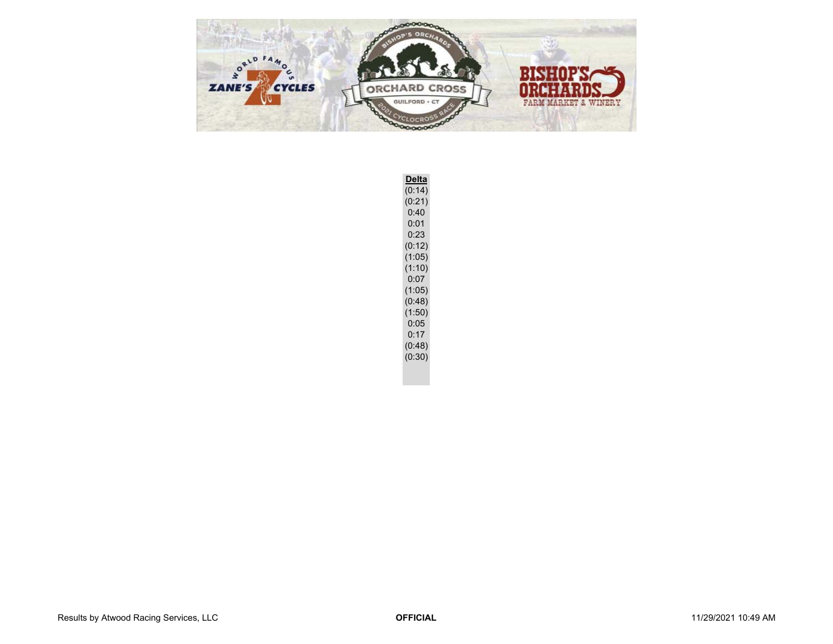

**Delta** (0:14)  $(0:21)$ 0:40 0:01 0:23 (0:12)  $(1:05)$  $(1:10)$  $0:07$  $(1:05)$ (0:48) (1:50)  $0:05$  $0:17$ (0:48) (0:30)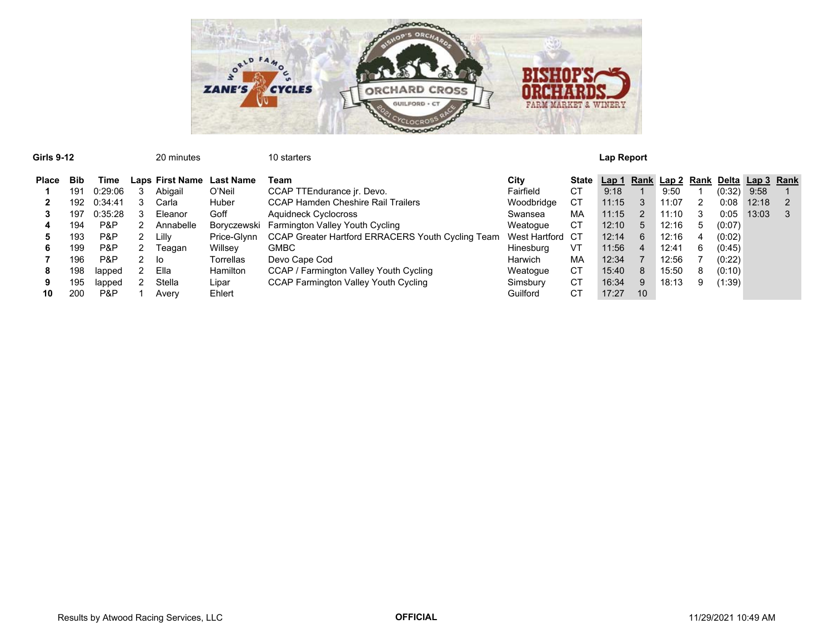

| <b>Girls 9-12</b> |            |         |   | 20 minutes                |             | 10 starters                                       |                  | Lap Report |       |               |                       |             |        |                  |  |  |
|-------------------|------------|---------|---|---------------------------|-------------|---------------------------------------------------|------------------|------------|-------|---------------|-----------------------|-------------|--------|------------------|--|--|
| <b>Place</b>      | <b>Bib</b> | Time    |   | Laps First Name Last Name |             | Team                                              | City             | State      |       |               | Lap 1 Rank Lap 2 Rank |             |        | Delta Lap 3 Rank |  |  |
|                   | 191        | 0:29:06 |   | Abigail                   | O'Neil      | CCAP TTEndurance jr. Devo.                        | Fairfield        | <b>CT</b>  | 9:18  |               | 9:50                  |             | (0:32) | 9:58             |  |  |
| 2                 | 192        | 0:34:41 |   | Carla                     | Huber       | <b>CCAP Hamden Cheshire Rail Trailers</b>         | Woodbridge       | СT         | 11:15 | 3             | 11:07                 |             | 0:08   | 12:18            |  |  |
|                   | 197        | 0:35:28 |   | Eleanor                   | Goff        | Aquidneck Cyclocross                              | Swansea          | MA         | 11:15 | $\mathcal{P}$ | 11:10                 |             | 0:05   | 13:03            |  |  |
| 4                 | 194        | P&P     |   | Annabelle                 | Boryczewski | Farmington Valley Youth Cycling                   | Weatoque         | CT         | 12:10 | 5             | 12:16                 | $5^{\circ}$ | (0:07) |                  |  |  |
|                   | 193        | P&P     | 2 | Lilly                     | Price-Glynn | CCAP Greater Hartford ERRACERS Youth Cycling Team | West Hartford CT |            | 12:14 | 6             | 12:16                 | 4           | (0:02) |                  |  |  |
| 6                 | 199        | P&P     | 2 | Teagan                    | Willsev     | <b>GMBC</b>                                       | Hinesburg        | VT         | 11:56 | 4             | 12:41                 | 6           | (0:45) |                  |  |  |
|                   | 196        | P&P     | 2 | lo                        | Torrellas   | Devo Cape Cod                                     | Harwich          | МA         | 12:34 |               | 12:56                 |             | (0:22) |                  |  |  |
| 8                 | 198        | lapped  |   | Ella                      | Hamilton    | CCAP / Farmington Valley Youth Cycling            | Weatogue         | СT         | 15:40 | 8             | 15:50                 | 8           | (0:10) |                  |  |  |
| 9                 | 195        | lapped  |   | Stella                    | Lipar       | CCAP Farmington Valley Youth Cycling              | Simsbury         | <b>CT</b>  | 16:34 | 9             | 18:13                 | 9           | (1:39) |                  |  |  |
| 10                | 200        | P&P     |   | Averv                     | Ehlert      |                                                   | Guilford         | СT         | 17:27 | 10            |                       |             |        |                  |  |  |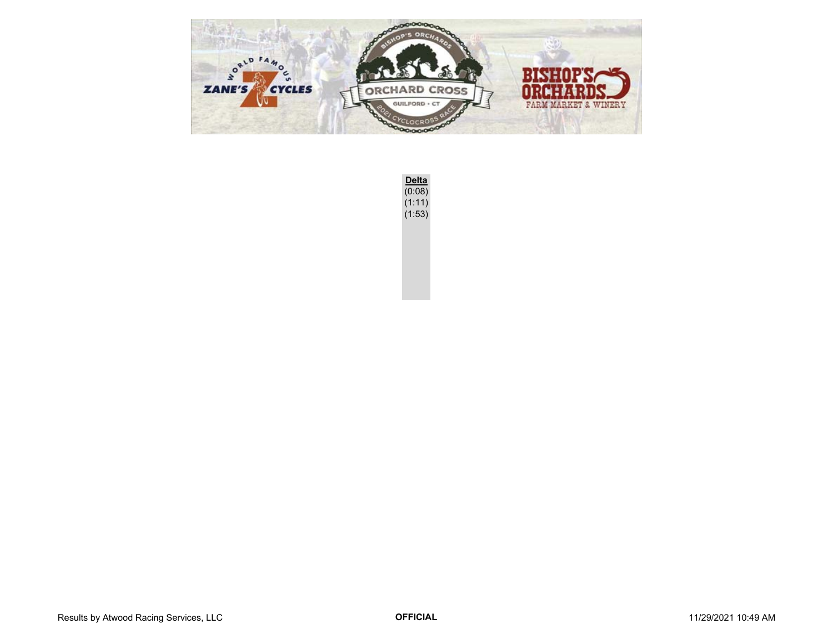

**Delta** (0:08) (1:11)  $(1:53)$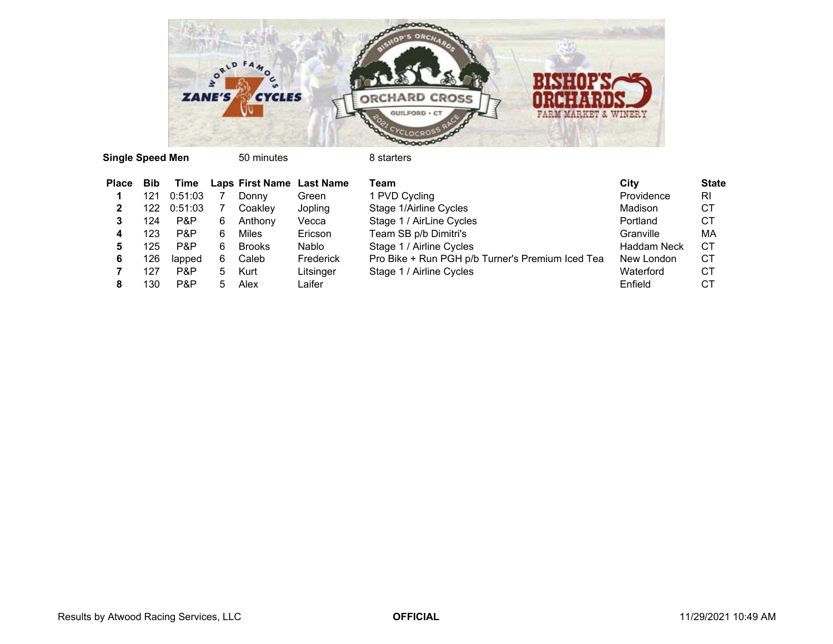

**Single Speed Men** 50 minutes 8 starters

| <b>Place</b> | <b>Bib</b> | Time    |    | Laps First Name Last Name |           | Team                                             | City               | <b>State</b> |
|--------------|------------|---------|----|---------------------------|-----------|--------------------------------------------------|--------------------|--------------|
|              | 121        | 0:51:03 |    | Donny                     | Green     | 1 PVD Cycling                                    | Providence         | <b>RI</b>    |
| 2            | 122        | 0:51:03 |    | Coaklev                   | Jopling   | Stage 1/Airline Cycles                           | Madison            | СT           |
| 3            | 124        | P&P     | 6  | Anthony                   | Vecca     | Stage 1 / AirLine Cycles                         | Portland           | СT           |
|              | 123        | P&P     | 6. | Miles                     | Ericson   | Team SB p/b Dimitri's                            | Granville          | МA           |
| 5            | 125.       | P&P     | 6. | <b>Brooks</b>             | Nablo     | Stage 1 / Airline Cycles                         | <b>Haddam Neck</b> | <b>CT</b>    |
| 6            | 26         | lapped  | 6. | Caleb                     | Frederick | Pro Bike + Run PGH p/b Turner's Premium Iced Tea | New London         | CТ           |
|              | 127        | P&P     | 5. | Kurt                      | Litsinger | Stage 1 / Airline Cycles                         | Waterford          | CТ           |
| 8            | 30         | P&P     | 5  | Alex                      | Laifer    |                                                  | Enfield            | СT           |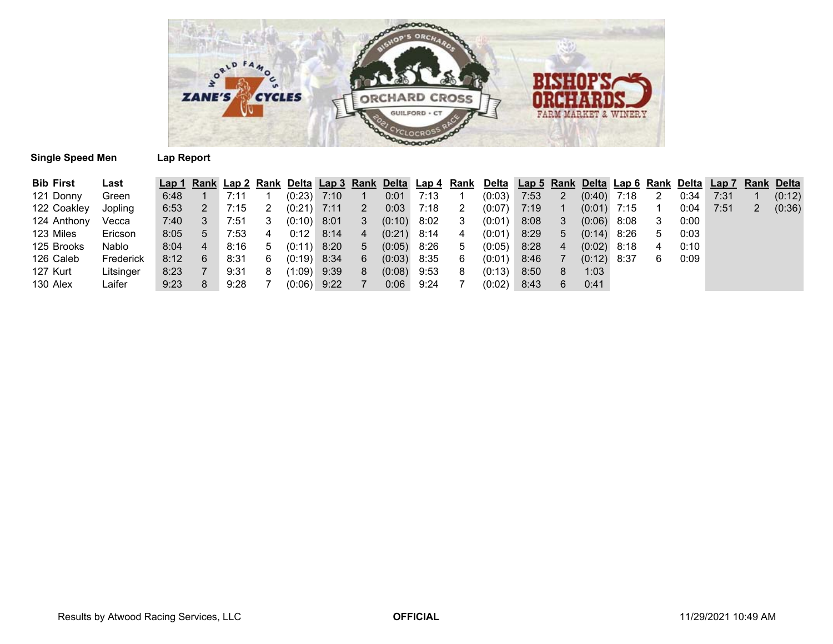

## **Single Speed Men**

| <b>Lap Report</b> |  |  |
|-------------------|--|--|
|-------------------|--|--|

| <b>Bib First</b> | Last      |      |   |      |   |               |      |                |               |      |             | Lap 1 Rank Lap 2 Rank Delta Lap 3 Rank Delta Lap 4 Rank Delta Lap 5 Rank Delta Lap 6 Rank Delta Lap 7 Rank Delta |      |   |               |        |   |      |      |   |        |
|------------------|-----------|------|---|------|---|---------------|------|----------------|---------------|------|-------------|------------------------------------------------------------------------------------------------------------------|------|---|---------------|--------|---|------|------|---|--------|
| 121 Donny        | Green     | 6:48 |   | 7:11 |   | $(0:23)$ 7:10 |      |                | 0:01          | 7:13 |             | (0:03)                                                                                                           | 7:53 | 2 | (0:40)        | 7:18   |   | 0:34 | 7:31 |   | (0:12) |
| 122 Coakley      | Jopling   | 6:53 |   | 7:15 |   | $(0:21)$ 7:11 |      | 2              | 0:03          | 7:18 |             | (0:07)                                                                                                           | 7:19 |   | (0:01)        | 7:15   |   | 0:04 | 7:51 | 2 | (0:36) |
| 124 Anthony      | Vecca     | 7:40 |   | 7:51 |   | $(0:10)$ 8:01 |      | 3              | (0:10)        | 8:02 | 3           | (0:01)                                                                                                           | 8:08 | 3 | (0:06)        | 8:08   |   | 0:00 |      |   |        |
| 123 Miles        | Ericson   | 8:05 |   | 7:53 | 4 | 0:12          | 8:14 | $\overline{4}$ | $(0:21)$ 8:14 |      | 4           | (0:01)                                                                                                           | 8:29 | 5 | $(0:14)$ 8:26 |        | ა | 0:03 |      |   |        |
| 125 Brooks       | Nablo     | 8:04 | 4 | 8:16 | 5 | $(0:11)$ 8:20 |      | 5              | (0:05)        | 8:26 | $5^{\circ}$ | (0:05)                                                                                                           | 8:28 | 4 | (0:02)        | 8:18   | 4 | 0:10 |      |   |        |
| 126 Caleb        | Frederick | 8:12 | 6 | 8:31 | 6 | $(0:19)$ 8:34 |      | 6              | (0:03)        | 8:35 | 6           | (0:01)                                                                                                           | 8:46 |   | (0:12)        | - 8:37 | 6 | 0:09 |      |   |        |
| 127 Kurt         | Litsinger | 8:23 |   | 9:31 |   | $(1:09)$ 9:39 |      | 8              | (0:08)        | 9:53 | 8           | (0:13)                                                                                                           | 8:50 | 8 | 1:03          |        |   |      |      |   |        |
| 130 Alex         | Laifer    | 9:23 |   | 9:28 |   | $(0:06)$ 9:22 |      |                | 0:06          | 9:24 |             | (0:02)                                                                                                           | 8:43 | 6 | 0:41          |        |   |      |      |   |        |